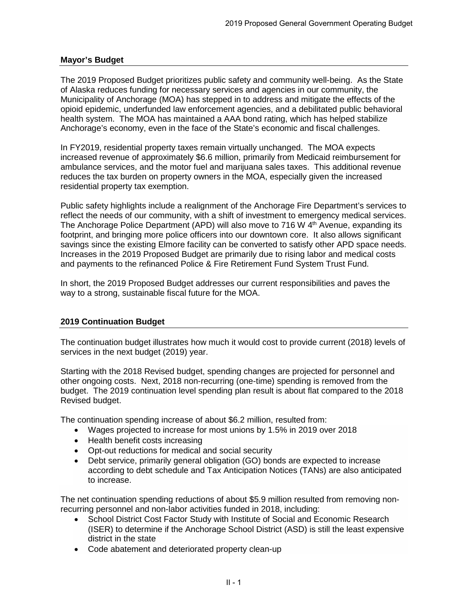### **Mayor's Budget**

The 2019 Proposed Budget prioritizes public safety and community well-being. As the State of Alaska reduces funding for necessary services and agencies in our community, the Municipality of Anchorage (MOA) has stepped in to address and mitigate the effects of the opioid epidemic, underfunded law enforcement agencies, and a debilitated public behavioral health system. The MOA has maintained a AAA bond rating, which has helped stabilize Anchorage's economy, even in the face of the State's economic and fiscal challenges.

In FY2019, residential property taxes remain virtually unchanged. The MOA expects increased revenue of approximately \$6.6 million, primarily from Medicaid reimbursement for ambulance services, and the motor fuel and marijuana sales taxes. This additional revenue reduces the tax burden on property owners in the MOA, especially given the increased residential property tax exemption.

Public safety highlights include a realignment of the Anchorage Fire Department's services to reflect the needs of our community, with a shift of investment to emergency medical services. The Anchorage Police Department (APD) will also move to 716 W 4<sup>th</sup> Avenue, expanding its footprint, and bringing more police officers into our downtown core. It also allows significant savings since the existing Elmore facility can be converted to satisfy other APD space needs. Increases in the 2019 Proposed Budget are primarily due to rising labor and medical costs and payments to the refinanced Police & Fire Retirement Fund System Trust Fund.

In short, the 2019 Proposed Budget addresses our current responsibilities and paves the way to a strong, sustainable fiscal future for the MOA.

### **2019 Continuation Budget**

The continuation budget illustrates how much it would cost to provide current (2018) levels of services in the next budget (2019) year.

Starting with the 2018 Revised budget, spending changes are projected for personnel and other ongoing costs. Next, 2018 non-recurring (one-time) spending is removed from the budget. The 2019 continuation level spending plan result is about flat compared to the 2018 Revised budget.

The continuation spending increase of about \$6.2 million, resulted from:

- Wages projected to increase for most unions by 1.5% in 2019 over 2018
- Health benefit costs increasing
- Opt-out reductions for medical and social security
- Debt service, primarily general obligation (GO) bonds are expected to increase according to debt schedule and Tax Anticipation Notices (TANs) are also anticipated to increase.

The net continuation spending reductions of about \$5.9 million resulted from removing nonrecurring personnel and non-labor activities funded in 2018, including:

- School District Cost Factor Study with Institute of Social and Economic Research (ISER) to determine if the Anchorage School District (ASD) is still the least expensive district in the state
- Code abatement and deteriorated property clean-up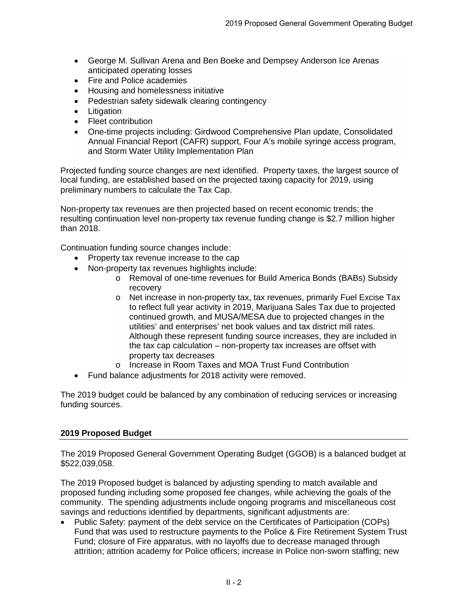- George M. Sullivan Arena and Ben Boeke and Dempsey Anderson Ice Arenas anticipated operating losses
- Fire and Police academies
- Housing and homelessness initiative
- Pedestrian safety sidewalk clearing contingency
- **Litigation**
- Fleet contribution
- One-time projects including: Girdwood Comprehensive Plan update, Consolidated Annual Financial Report (CAFR) support, Four A's mobile syringe access program, and Storm Water Utility Implementation Plan

Projected funding source changes are next identified. Property taxes, the largest source of local funding, are established based on the projected taxing capacity for 2019, using preliminary numbers to calculate the Tax Cap.

Non-property tax revenues are then projected based on recent economic trends; the resulting continuation level non-property tax revenue funding change is \$2.7 million higher than 2018.

Continuation funding source changes include:

- Property tax revenue increase to the cap
- Non-property tax revenues highlights include:
	- o Removal of one-time revenues for Build America Bonds (BABs) Subsidy recovery
	- o Net increase in non-property tax, tax revenues, primarily Fuel Excise Tax to reflect full year activity in 2019, Marijuana Sales Tax due to projected continued growth, and MUSA/MESA due to projected changes in the utilities' and enterprises' net book values and tax district mill rates. Although these represent funding source increases, they are included in the tax cap calculation – non-property tax increases are offset with property tax decreases
	- o Increase in Room Taxes and MOA Trust Fund Contribution
- Fund balance adjustments for 2018 activity were removed.

The 2019 budget could be balanced by any combination of reducing services or increasing funding sources.

### **2019 Proposed Budget**

The 2019 Proposed General Government Operating Budget (GGOB) is a balanced budget at \$522,039,058.

The 2019 Proposed budget is balanced by adjusting spending to match available and proposed funding including some proposed fee changes, while achieving the goals of the community. The spending adjustments include ongoing programs and miscellaneous cost savings and reductions identified by departments, significant adjustments are:

• Public Safety: payment of the debt service on the Certificates of Participation (COPs) Fund that was used to restructure payments to the Police & Fire Retirement System Trust Fund; closure of Fire apparatus, with no layoffs due to decrease managed through attrition; attrition academy for Police officers; increase in Police non-sworn staffing; new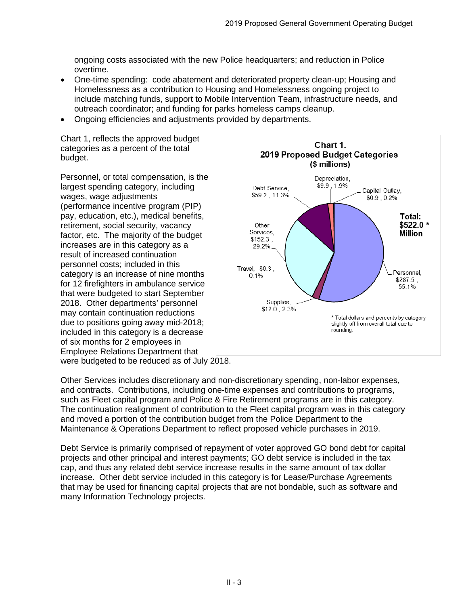ongoing costs associated with the new Police headquarters; and reduction in Police overtime.

- One-time spending: code abatement and deteriorated property clean-up; Housing and Homelessness as a contribution to Housing and Homelessness ongoing project to include matching funds, support to Mobile Intervention Team, infrastructure needs, and outreach coordinator; and funding for parks homeless camps cleanup.
- Ongoing efficiencies and adjustments provided by departments.

Chart 1, reflects the approved budget categories as a percent of the total budget.

Personnel, or total compensation, is the largest spending category, including wages, wage adjustments (performance incentive program (PIP) pay, education, etc.), medical benefits, retirement, social security, vacancy factor, etc. The majority of the budget increases are in this category as a result of increased continuation personnel costs; included in this category is an increase of nine months for 12 firefighters in ambulance service that were budgeted to start September 2018. Other departments' personnel may contain continuation reductions due to positions going away mid-2018; included in this category is a decrease of six months for 2 employees in Employee Relations Department that were budgeted to be reduced as of July 2018.



Other Services includes discretionary and non-discretionary spending, non-labor expenses, and contracts. Contributions, including one-time expenses and contributions to programs, such as Fleet capital program and Police & Fire Retirement programs are in this category. The continuation realignment of contribution to the Fleet capital program was in this category and moved a portion of the contribution budget from the Police Department to the Maintenance & Operations Department to reflect proposed vehicle purchases in 2019.

Debt Service is primarily comprised of repayment of voter approved GO bond debt for capital projects and other principal and interest payments; GO debt service is included in the tax cap, and thus any related debt service increase results in the same amount of tax dollar increase. Other debt service included in this category is for Lease/Purchase Agreements that may be used for financing capital projects that are not bondable, such as software and many Information Technology projects.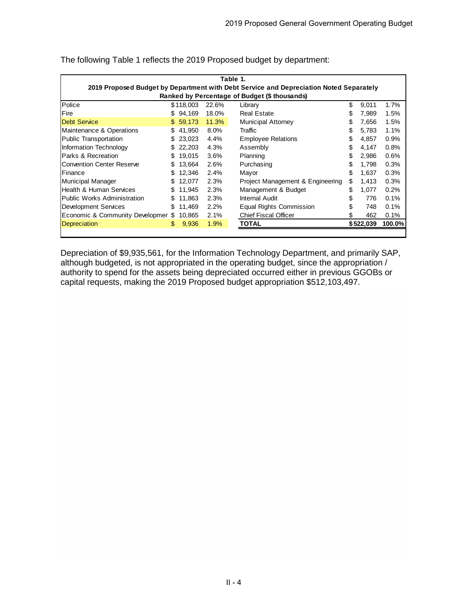|                                    |                                               |           |       | Table 1.                                                                               |    |           |        |  |  |  |  |  |  |
|------------------------------------|-----------------------------------------------|-----------|-------|----------------------------------------------------------------------------------------|----|-----------|--------|--|--|--|--|--|--|
|                                    |                                               |           |       | 2019 Proposed Budget by Department with Debt Service and Depreciation Noted Separately |    |           |        |  |  |  |  |  |  |
|                                    | Ranked by Percentage of Budget (\$ thousands) |           |       |                                                                                        |    |           |        |  |  |  |  |  |  |
| Police                             |                                               | \$118,003 | 22.6% | Library                                                                                | \$ | 9,011     | 1.7%   |  |  |  |  |  |  |
| l Fire                             | S                                             | 94.169    | 18.0% | <b>Real Estate</b>                                                                     | S  | 7.989     | 1.5%   |  |  |  |  |  |  |
| <b>Debt Service</b>                | S.                                            | 59.173    | 11.3% | <b>Municipal Attorney</b>                                                              | \$ | 7,656     | 1.5%   |  |  |  |  |  |  |
| Maintenance & Operations           | S                                             | 41.950    | 8.0%  | Traffic                                                                                | \$ | 5.783     | 1.1%   |  |  |  |  |  |  |
| Public Transportation              | SS                                            | 23.023    | 4.4%  | <b>Employee Relations</b>                                                              | \$ | 4.857     | 0.9%   |  |  |  |  |  |  |
| Information Technology             | \$                                            | 22,203    | 4.3%  | Assembly                                                                               | \$ | 4,147     | 0.8%   |  |  |  |  |  |  |
| Parks & Recreation                 | S                                             | 19.015    | 3.6%  | Planning                                                                               | \$ | 2.986     | 0.6%   |  |  |  |  |  |  |
| <b>Convention Center Reserve</b>   | S                                             | 13.664    | 2.6%  | Purchasing                                                                             | \$ | 1.798     | 0.3%   |  |  |  |  |  |  |
| <b>IFinance</b>                    | SS                                            | 12.346    | 2.4%  | Mayor                                                                                  | \$ | 1.637     | 0.3%   |  |  |  |  |  |  |
| Municipal Manager                  | S                                             | 12.077    | 2.3%  | Project Management & Engineering                                                       | \$ | 1,413     | 0.3%   |  |  |  |  |  |  |
| Health & Human Services            | \$.                                           | 11.945    | 2.3%  | Management & Budget                                                                    | \$ | 1,077     | 0.2%   |  |  |  |  |  |  |
| <b>Public Works Administration</b> |                                               | 11.863    | 2.3%  | Internal Audit                                                                         | \$ | 776       | 0.1%   |  |  |  |  |  |  |
| Development Services               | SS                                            | 11,469    | 2.2%  | Equal Rights Commission                                                                | \$ | 748       | 0.1%   |  |  |  |  |  |  |
| Economic & Community Developmer    | S                                             | 10.865    | 2.1%  | <b>Chief Fiscal Officer</b>                                                            | \$ | 462       | 0.1%   |  |  |  |  |  |  |
| Depreciation                       | \$                                            | 9,936     | 1.9%  | <b>TOTAL</b>                                                                           |    | \$522,039 | 100.0% |  |  |  |  |  |  |
|                                    |                                               |           |       |                                                                                        |    |           |        |  |  |  |  |  |  |

The following Table 1 reflects the 2019 Proposed budget by department:

Depreciation of \$9,935,561, for the Information Technology Department, and primarily SAP, although budgeted, is not appropriated in the operating budget, since the appropriation / authority to spend for the assets being depreciated occurred either in previous GGOBs or capital requests, making the 2019 Proposed budget appropriation \$512,103,497.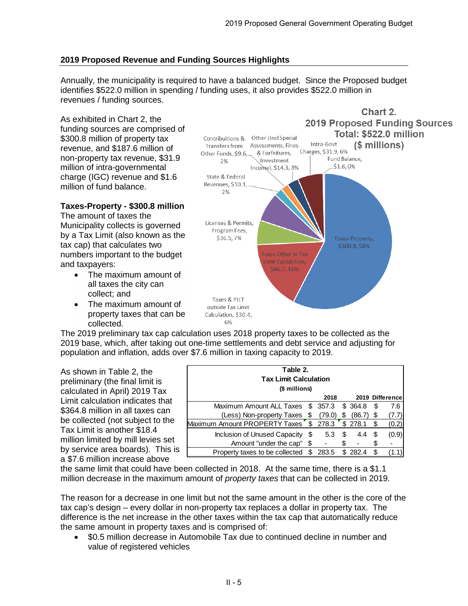# **2019 Proposed Revenue and Funding Sources Highlights**

Annually, the municipality is required to have a balanced budget. Since the Proposed budget identifies \$522.0 million in spending / funding uses, it also provides \$522.0 million in revenues / funding sources.

As exhibited in Chart 2, the funding sources are comprised of \$300.8 million of property tax revenue, and \$187.6 million of non-property tax revenue, \$31.9 million of intra-governmental charge (IGC) revenue and \$1.6 million of fund balance.

## **Taxes-Property - \$300.8 million**

The amount of taxes the Municipality collects is governed by a Tax Limit (also known as the tax cap) that calculates two numbers important to the budget and taxpayers:

- The maximum amount of all taxes the city can collect; and
- The maximum amount of property taxes that can be collected.



The 2019 preliminary tax cap calculation uses 2018 property taxes to be collected as the 2019 base, which, after taking out one-time settlements and debt service and adjusting for population and inflation, adds over \$7.6 million in taxing capacity to 2019.

As shown in Table 2, the preliminary (the final limit is calculated in April) 2019 Tax Limit calculation indicates that \$364.8 million in all taxes can be collected (not subject to the Tax Limit is another \$18.4 million limited by mill levies set by service area boards). This is a \$7.6 million increase above

| Table 2.<br><b>Tax Limit Calculation</b><br>(\$ millions) |    |        |   |                     |    |                 |  |  |  |  |  |
|-----------------------------------------------------------|----|--------|---|---------------------|----|-----------------|--|--|--|--|--|
|                                                           |    | 2018   |   |                     |    | 2019 Difference |  |  |  |  |  |
| Maximum Amount ALL Taxes \$ 357.3                         |    |        |   | \$ 364.8            | \$ | 7.6             |  |  |  |  |  |
| (Less) Non-property Taxes                                 | S  | (79.0) |   | (86.7)              | \$ |                 |  |  |  |  |  |
| Maximum Amount PROPERTY Taxes \$278.3                     |    |        |   | $\frac{1}{3}$ 278.1 | \$ | (0.2)           |  |  |  |  |  |
| Inclusion of Unused Capacity                              | \$ | 5.3    | S | 4.4                 | \$ | (0.9)           |  |  |  |  |  |
| Amount "under the cap" \$                                 |    |        |   |                     | \$ |                 |  |  |  |  |  |
| Property taxes to be collected                            | S  | 283.5  |   | 282.4               | S  |                 |  |  |  |  |  |

the same limit that could have been collected in 2018. At the same time, there is a \$1.1 million decrease in the maximum amount of *property taxes* that can be collected in 2019.

The reason for a decrease in one limit but not the same amount in the other is the core of the tax cap's design – every dollar in non-property tax replaces a dollar in property tax. The difference is the net increase in the other taxes within the tax cap that automatically reduce the same amount in property taxes and is comprised of:

• \$0.5 million decrease in Automobile Tax due to continued decline in number and value of registered vehicles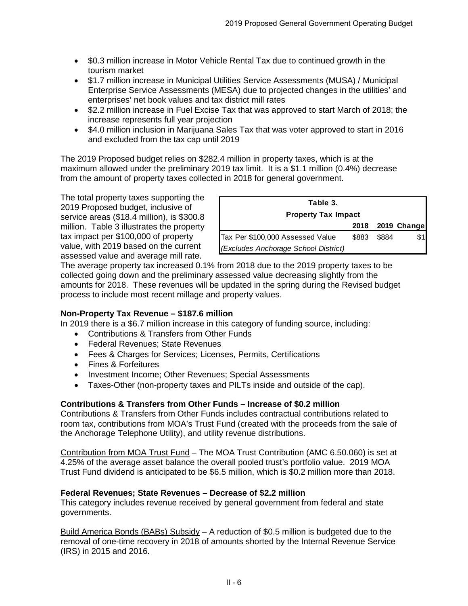- \$0.3 million increase in Motor Vehicle Rental Tax due to continued growth in the tourism market
- \$1.7 million increase in Municipal Utilities Service Assessments (MUSA) / Municipal Enterprise Service Assessments (MESA) due to projected changes in the utilities' and enterprises' net book values and tax district mill rates
- \$2.2 million increase in Fuel Excise Tax that was approved to start March of 2018; the increase represents full year projection
- \$4.0 million inclusion in Marijuana Sales Tax that was voter approved to start in 2016 and excluded from the tax cap until 2019

The 2019 Proposed budget relies on \$282.4 million in property taxes, which is at the maximum allowed under the preliminary 2019 tax limit. It is a \$1.1 million (0.4%) decrease from the amount of property taxes collected in 2018 for general government.

The total property taxes supporting the 2019 Proposed budget, inclusive of service areas (\$18.4 million), is \$300.8 million. Table 3 illustrates the property tax impact per \$100,000 of property value, with 2019 based on the current assessed value and average mill rate.

| Table 3.                             |       |       |                  |  |  |  |  |  |  |  |
|--------------------------------------|-------|-------|------------------|--|--|--|--|--|--|--|
| <b>Property Tax Impact</b>           |       |       |                  |  |  |  |  |  |  |  |
|                                      |       |       | 2018 2019 Change |  |  |  |  |  |  |  |
| Tax Per \$100,000 Assessed Value     | \$883 | \$884 |                  |  |  |  |  |  |  |  |
| (Excludes Anchorage School District) |       |       |                  |  |  |  |  |  |  |  |

The average property tax increased 0.1% from 2018 due to the 2019 property taxes to be collected going down and the preliminary assessed value decreasing slightly from the amounts for 2018. These revenues will be updated in the spring during the Revised budget process to include most recent millage and property values.

# **Non-Property Tax Revenue – \$187.6 million**

In 2019 there is a \$6.7 million increase in this category of funding source, including:

- Contributions & Transfers from Other Funds
- Federal Revenues; State Revenues
- Fees & Charges for Services; Licenses, Permits, Certifications
- Fines & Forfeitures
- Investment Income; Other Revenues; Special Assessments
- Taxes-Other (non-property taxes and PILTs inside and outside of the cap).

### **Contributions & Transfers from Other Funds – Increase of \$0.2 million**

Contributions & Transfers from Other Funds includes contractual contributions related to room tax, contributions from MOA's Trust Fund (created with the proceeds from the sale of the Anchorage Telephone Utility), and utility revenue distributions.

Contribution from MOA Trust Fund – The MOA Trust Contribution (AMC 6.50.060) is set at 4.25% of the average asset balance the overall pooled trust's portfolio value. 2019 MOA Trust Fund dividend is anticipated to be \$6.5 million, which is \$0.2 million more than 2018.

### **Federal Revenues; State Revenues – Decrease of \$2.2 million**

This category includes revenue received by general government from federal and state governments.

Build America Bonds (BABs) Subsidy – A reduction of \$0.5 million is budgeted due to the removal of one-time recovery in 2018 of amounts shorted by the Internal Revenue Service (IRS) in 2015 and 2016.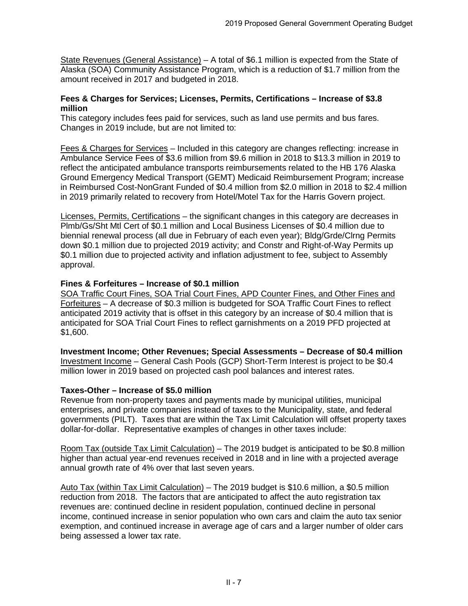State Revenues (General Assistance) - A total of \$6.1 million is expected from the State of Alaska (SOA) Community Assistance Program, which is a reduction of \$1.7 million from the amount received in 2017 and budgeted in 2018.

### **Fees & Charges for Services; Licenses, Permits, Certifications – Increase of \$3.8 million**

This category includes fees paid for services, such as land use permits and bus fares. Changes in 2019 include, but are not limited to:

Fees & Charges for Services – Included in this category are changes reflecting: increase in Ambulance Service Fees of \$3.6 million from \$9.6 million in 2018 to \$13.3 million in 2019 to reflect the anticipated ambulance transports reimbursements related to the HB 176 Alaska Ground Emergency Medical Transport (GEMT) Medicaid Reimbursement Program; increase in Reimbursed Cost-NonGrant Funded of \$0.4 million from \$2.0 million in 2018 to \$2.4 million in 2019 primarily related to recovery from Hotel/Motel Tax for the Harris Govern project.

Licenses, Permits, Certifications – the significant changes in this category are decreases in Plmb/Gs/Sht Mtl Cert of \$0.1 million and Local Business Licenses of \$0.4 million due to biennial renewal process (all due in February of each even year); Bldg/Grde/Clrng Permits down \$0.1 million due to projected 2019 activity; and Constr and Right-of-Way Permits up \$0.1 million due to projected activity and inflation adjustment to fee, subject to Assembly approval.

### **Fines & Forfeitures – Increase of \$0.1 million**

SOA Traffic Court Fines, SOA Trial Court Fines, APD Counter Fines, and Other Fines and Forfeitures – A decrease of \$0.3 million is budgeted for SOA Traffic Court Fines to reflect anticipated 2019 activity that is offset in this category by an increase of \$0.4 million that is anticipated for SOA Trial Court Fines to reflect garnishments on a 2019 PFD projected at \$1,600.

**Investment Income; Other Revenues; Special Assessments – Decrease of \$0.4 million** Investment Income – General Cash Pools (GCP) Short-Term Interest is project to be \$0.4 million lower in 2019 based on projected cash pool balances and interest rates.

### **Taxes-Other – Increase of \$5.0 million**

Revenue from non-property taxes and payments made by municipal utilities, municipal enterprises, and private companies instead of taxes to the Municipality, state, and federal governments (PILT). Taxes that are within the Tax Limit Calculation will offset property taxes dollar-for-dollar. Representative examples of changes in other taxes include:

Room Tax (outside Tax Limit Calculation) – The 2019 budget is anticipated to be \$0.8 million higher than actual year-end revenues received in 2018 and in line with a projected average annual growth rate of 4% over that last seven years.

Auto Tax (within Tax Limit Calculation) – The 2019 budget is \$10.6 million, a \$0.5 million reduction from 2018. The factors that are anticipated to affect the auto registration tax revenues are: continued decline in resident population, continued decline in personal income, continued increase in senior population who own cars and claim the auto tax senior exemption, and continued increase in average age of cars and a larger number of older cars being assessed a lower tax rate.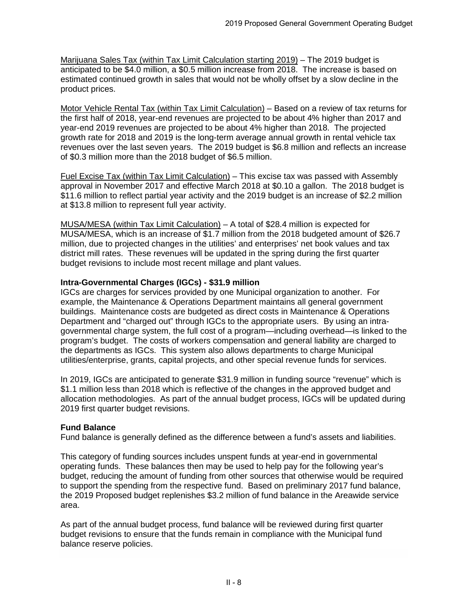Marijuana Sales Tax (within Tax Limit Calculation starting 2019) – The 2019 budget is anticipated to be \$4.0 million, a \$0.5 million increase from 2018. The increase is based on estimated continued growth in sales that would not be wholly offset by a slow decline in the product prices.

Motor Vehicle Rental Tax (within Tax Limit Calculation) – Based on a review of tax returns for the first half of 2018, year-end revenues are projected to be about 4% higher than 2017 and year-end 2019 revenues are projected to be about 4% higher than 2018. The projected growth rate for 2018 and 2019 is the long-term average annual growth in rental vehicle tax revenues over the last seven years. The 2019 budget is \$6.8 million and reflects an increase of \$0.3 million more than the 2018 budget of \$6.5 million.

Fuel Excise Tax (within Tax Limit Calculation) – This excise tax was passed with Assembly approval in November 2017 and effective March 2018 at \$0.10 a gallon. The 2018 budget is \$11.6 million to reflect partial year activity and the 2019 budget is an increase of \$2.2 million at \$13.8 million to represent full year activity.

MUSA/MESA (within Tax Limit Calculation) – A total of \$28.4 million is expected for MUSA/MESA, which is an increase of \$1.7 million from the 2018 budgeted amount of \$26.7 million, due to projected changes in the utilities' and enterprises' net book values and tax district mill rates. These revenues will be updated in the spring during the first quarter budget revisions to include most recent millage and plant values.

# **Intra-Governmental Charges (IGCs) - \$31.9 million**

IGCs are charges for services provided by one Municipal organization to another. For example, the Maintenance & Operations Department maintains all general government buildings. Maintenance costs are budgeted as direct costs in Maintenance & Operations Department and "charged out" through IGCs to the appropriate users. By using an intragovernmental charge system, the full cost of a program—including overhead—is linked to the program's budget. The costs of workers compensation and general liability are charged to the departments as IGCs. This system also allows departments to charge Municipal utilities/enterprise, grants, capital projects, and other special revenue funds for services.

In 2019, IGCs are anticipated to generate \$31.9 million in funding source "revenue" which is \$1.1 million less than 2018 which is reflective of the changes in the approved budget and allocation methodologies. As part of the annual budget process, IGCs will be updated during 2019 first quarter budget revisions.

# **Fund Balance**

Fund balance is generally defined as the difference between a fund's assets and liabilities.

This category of funding sources includes unspent funds at year-end in governmental operating funds. These balances then may be used to help pay for the following year's budget, reducing the amount of funding from other sources that otherwise would be required to support the spending from the respective fund. Based on preliminary 2017 fund balance, the 2019 Proposed budget replenishes \$3.2 million of fund balance in the Areawide service area.

As part of the annual budget process, fund balance will be reviewed during first quarter budget revisions to ensure that the funds remain in compliance with the Municipal fund balance reserve policies.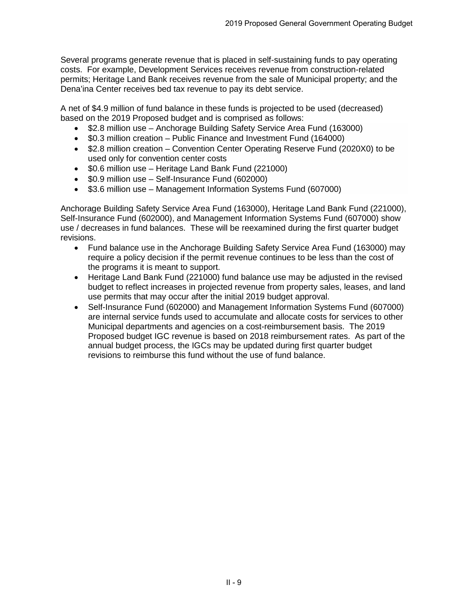Several programs generate revenue that is placed in self-sustaining funds to pay operating costs. For example, Development Services receives revenue from construction-related permits; Heritage Land Bank receives revenue from the sale of Municipal property; and the Dena'ina Center receives bed tax revenue to pay its debt service.

A net of \$4.9 million of fund balance in these funds is projected to be used (decreased) based on the 2019 Proposed budget and is comprised as follows:

- \$2.8 million use Anchorage Building Safety Service Area Fund (163000)
- \$0.3 million creation Public Finance and Investment Fund (164000)
- \$2.8 million creation Convention Center Operating Reserve Fund (2020X0) to be used only for convention center costs
- \$0.6 million use Heritage Land Bank Fund (221000)
- \$0.9 million use Self-Insurance Fund (602000)
- \$3.6 million use Management Information Systems Fund (607000)

Anchorage Building Safety Service Area Fund (163000), Heritage Land Bank Fund (221000), Self-Insurance Fund (602000), and Management Information Systems Fund (607000) show use / decreases in fund balances. These will be reexamined during the first quarter budget revisions.

- Fund balance use in the Anchorage Building Safety Service Area Fund (163000) may require a policy decision if the permit revenue continues to be less than the cost of the programs it is meant to support.
- Heritage Land Bank Fund (221000) fund balance use may be adjusted in the revised budget to reflect increases in projected revenue from property sales, leases, and land use permits that may occur after the initial 2019 budget approval.
- Self-Insurance Fund (602000) and Management Information Systems Fund (607000) are internal service funds used to accumulate and allocate costs for services to other Municipal departments and agencies on a cost-reimbursement basis. The 2019 Proposed budget IGC revenue is based on 2018 reimbursement rates. As part of the annual budget process, the IGCs may be updated during first quarter budget revisions to reimburse this fund without the use of fund balance.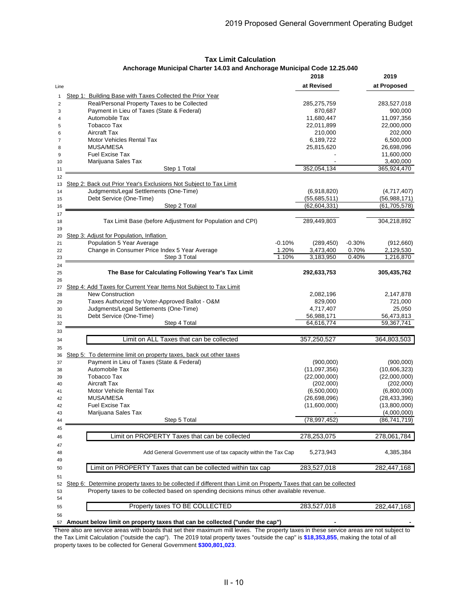|      |                                                                                                                  | 2018           |          | 2019                     |
|------|------------------------------------------------------------------------------------------------------------------|----------------|----------|--------------------------|
| Line |                                                                                                                  | at Revised     |          | at Proposed              |
|      | Step 1: Building Base with Taxes Collected the Prior Year                                                        |                |          |                          |
| 1    | Real/Personal Property Taxes to be Collected                                                                     | 285,275,759    |          |                          |
| 2    | Payment in Lieu of Taxes (State & Federal)                                                                       | 870,687        |          | 283,527,018<br>900,000   |
| 3    | Automobile Tax                                                                                                   |                |          |                          |
| 4    |                                                                                                                  | 11,680,447     |          | 11,097,356               |
| 5    | <b>Tobacco Tax</b>                                                                                               | 22,011,899     |          | 22,000,000               |
| 6    | Aircraft Tax                                                                                                     | 210,000        |          | 202,000                  |
| 7    | <b>Motor Vehicles Rental Tax</b>                                                                                 | 6,189,722      |          | 6,500,000                |
| 8    | MUSA/MESA                                                                                                        | 25,815,620     |          | 26,698,096               |
| 9    | <b>Fuel Excise Tax</b>                                                                                           |                |          | 11,600,000               |
| 10   | Marijuana Sales Tax                                                                                              |                |          | 3,400,000                |
| 11   | Step 1 Total                                                                                                     | 352,054,134    |          | 365,924,470              |
| 12   |                                                                                                                  |                |          |                          |
| 13   | Step 2: Back out Prior Year's Exclusions Not Subject to Tax Limit                                                |                |          |                          |
| 14   | Judgments/Legal Settlements (One-Time)                                                                           | (6,918,820)    |          | (4,717,407)              |
| 15   | Debt Service (One-Time)                                                                                          | (55,685,511)   |          | (56,988,171)             |
| 16   | Step 2 Total                                                                                                     | (62, 604, 331) |          | (61, 705, 578)           |
| 17   |                                                                                                                  |                |          |                          |
| 18   | Tax Limit Base (before Adjustment for Population and CPI)                                                        | 289,449,803    |          | 304,218,892              |
| 19   |                                                                                                                  |                |          |                          |
| 20   | Step 3: Adjust for Population, Inflation                                                                         |                |          |                          |
| 21   | Population 5 Year Average<br>$-0.10%$                                                                            | (289, 450)     | $-0.30%$ | (912,660)                |
| 22   | 1.20%<br>Change in Consumer Price Index 5 Year Average                                                           | 3,473,400      | 0.70%    | 2,129,530                |
| 23   | 1.10%<br>Step 3 Total                                                                                            | 3,183,950      | 0.40%    | 1,216,870                |
| 24   |                                                                                                                  |                |          |                          |
| 25   | The Base for Calculating Following Year's Tax Limit                                                              | 292,633,753    |          | 305,435,762              |
| 26   |                                                                                                                  |                |          |                          |
| 27   | <b>Step 4: Add Taxes for Current Year Items Not Subject to Tax Limit</b>                                         |                |          |                          |
| 28   | <b>New Construction</b>                                                                                          | 2,082,196      |          | 2,147,878                |
|      | Taxes Authorized by Voter-Approved Ballot - O&M                                                                  | 829,000        |          |                          |
| 29   |                                                                                                                  |                |          | 721,000                  |
| 30   | Judgments/Legal Settlements (One-Time)                                                                           | 4,717,407      |          | 25,050                   |
| 31   | Debt Service (One-Time)                                                                                          | 56,988,171     |          | 56,473,813<br>59,367,741 |
| 32   | Step 4 Total                                                                                                     | 64,616,774     |          |                          |
| 33   |                                                                                                                  |                |          |                          |
| 34   | Limit on ALL Taxes that can be collected                                                                         | 357,250,527    |          | 364,803,503              |
| 35   |                                                                                                                  |                |          |                          |
| 36   | Step 5: To determine limit on property taxes, back out other taxes                                               |                |          |                          |
| 37   | Payment in Lieu of Taxes (State & Federal)                                                                       | (900,000)      |          | (900,000)                |
| 38   | Automobile Tax                                                                                                   | (11,097,356)   |          | (10,606,323)             |
| 39   | <b>Tobacco Tax</b>                                                                                               | (22,000,000)   |          | (22,000,000)             |
| 40   | Aircraft Tax                                                                                                     | (202,000)      |          | (202,000)                |
| 41   | Motor Vehicle Rental Tax                                                                                         | (6,500,000)    |          | (6,800,000)              |
| 42   | MUSA/MESA                                                                                                        | (26,698,096)   |          | (28, 433, 396)           |
| 42   | <b>Fuel Excise Tax</b>                                                                                           | (11,600,000)   |          | (13,800,000)             |
| 43   | Marijuana Sales Tax                                                                                              |                |          | (4,000,000)              |
| 44   | Step 5 Total                                                                                                     | (78, 997, 452) |          | (86, 741, 719)           |
| 45   |                                                                                                                  |                |          |                          |
|      |                                                                                                                  |                |          |                          |
| 46   | Limit on PROPERTY Taxes that can be collected                                                                    | 278,253,075    |          | 278,061,784              |
| 47   |                                                                                                                  |                |          |                          |
| 48   | Add General Government use of tax capacity within the Tax Cap                                                    | 5,273,943      |          | 4,385,384                |
| 49   |                                                                                                                  |                |          |                          |
| 50   | Limit on PROPERTY Taxes that can be collected within tax cap                                                     | 283,527,018    |          | 282,447,168              |
| 51   |                                                                                                                  |                |          |                          |
| 52   | Step 6: Determine property taxes to be collected if different than Limit on Property Taxes that can be collected |                |          |                          |
| 53   | Property taxes to be collected based on spending decisions minus other available revenue.                        |                |          |                          |
| 54   |                                                                                                                  |                |          |                          |
| 55   | Property taxes TO BE COLLECTED                                                                                   | 283,527,018    |          | 282,447,168              |
|      |                                                                                                                  |                |          |                          |
| 56   |                                                                                                                  |                |          |                          |
| 57   | Amount below limit on property taxes that can be collected ("under the cap")                                     |                |          |                          |

### **Tax Limit Calculation Anchorage Municipal Charter 14.03 and Anchorage Municipal Code 12.25.040**

There also are service areas with boards that set their maximum mill levies. The property taxes in these service areas are not subject to the Tax Limit Calculation ("outside the cap"). The 2019 total property taxes "outside the cap" is **\$18,353,855**, making the total of all property taxes to be collected for General Government **\$300,801,023**.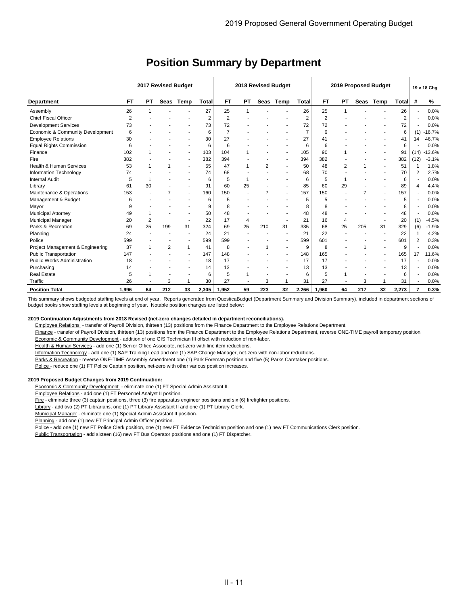|                                    |                |                          |                | 2017 Revised Budget | 2019 Proposed Budget<br>2018 Revised Budget |                |                |      |      |                |                | 19 v 18 Chg    |                |      |       |                |          |
|------------------------------------|----------------|--------------------------|----------------|---------------------|---------------------------------------------|----------------|----------------|------|------|----------------|----------------|----------------|----------------|------|-------|----------------|----------|
| <b>Department</b>                  | FT             | PТ                       | Seas           | Temp                | Total                                       | FT             | PT             | Seas | Temp | <b>Total</b>   | <b>FT</b>      | РT             | Seas           | Temp | Total | #              | %        |
| Assembly                           | 26             |                          |                |                     | 27                                          | 25             |                |      |      | 26             | 25             |                |                |      | 26    |                | 0.0%     |
| <b>Chief Fiscal Officer</b>        | $\overline{2}$ |                          |                |                     | $\overline{2}$                              | $\overline{2}$ |                |      |      | $\overline{2}$ | $\overline{2}$ |                |                |      | 2     |                | 0.0%     |
| <b>Development Services</b>        | 73             |                          |                |                     | 73                                          | 72             |                |      |      | 72             | 72             |                |                |      | 72    |                | 0.0%     |
| Economic & Community Development   | 6              |                          |                |                     | 6                                           | $\overline{7}$ |                |      |      | $\overline{7}$ | 6              |                |                |      | 6     | (1)            | $-16.7%$ |
| <b>Employee Relations</b>          | 30             |                          |                |                     | 30                                          | 27             |                |      |      | 27             | 41             |                |                |      | 41    | 14             | 46.7%    |
| <b>Equal Rights Commission</b>     | 6              |                          |                |                     | 6                                           | 6              |                |      |      | 6              | 6              |                |                |      | 6     |                | 0.0%     |
| Finance                            | 102            |                          |                |                     | 103                                         | 104            |                |      |      | 105            | 90             |                |                |      | 91    | (14)           | $-13.6%$ |
| Fire                               | 382            |                          |                |                     | 382                                         | 394            |                |      |      | 394            | 382            |                |                |      | 382   | (12)           | $-3.1%$  |
| <b>Health &amp; Human Services</b> | 53             | 1                        |                |                     | 55                                          | 47             | 1              | 2    |      | 50             | 48             | $\overline{2}$ |                |      | 51    | 1              | 1.8%     |
| Information Technology             | 74             |                          |                |                     | 74                                          | 68             |                |      |      | 68             | 70             |                |                |      | 70    | $\overline{2}$ | 2.7%     |
| <b>Internal Audit</b>              | 5              | 1                        |                |                     | 6                                           | 5              |                |      |      | 6              | 5              | $\overline{1}$ |                |      | 6     |                | 0.0%     |
| Library                            | 61             | 30                       |                |                     | 91                                          | 60             | 25             |      |      | 85             | 60             | 29             |                |      | 89    | 4              | 4.4%     |
| Maintenance & Operations           | 153            |                          | 7              |                     | 160                                         | 150            |                | 7    |      | 157            | 150            |                | $\overline{7}$ |      | 157   |                | 0.0%     |
| Management & Budget                | 6              |                          |                |                     | 6                                           | 5              |                |      |      | 5              | 5              |                |                |      | 5     |                | 0.0%     |
| Mayor                              | 9              |                          |                |                     | 9                                           | 8              |                |      |      | 8              | 8              |                |                |      | 8     |                | 0.0%     |
| <b>Municipal Attorney</b>          | 49             | 1                        |                |                     | 50                                          | 48             |                |      |      | 48             | 48             |                |                |      | 48    |                | 0.0%     |
| Municipal Manager                  | 20             | $\overline{2}$           |                |                     | 22                                          | 17             | $\overline{4}$ |      |      | 21             | 16             | 4              |                |      | 20    | (1)            | $-4.5%$  |
| Parks & Recreation                 | 69             | 25                       | 199            | 31                  | 324                                         | 69             | 25             | 210  | 31   | 335            | 68             | 25             | 205            | 31   | 329   | (6)            | $-1.9%$  |
| Planning                           | 24             |                          |                |                     | 24                                          | 21             |                |      |      | 21             | 22             |                |                |      | 22    |                | 4.2%     |
| Police                             | 599            |                          |                |                     | 599                                         | 599            |                |      |      | 599            | 601            |                |                |      | 601   | $\overline{2}$ | 0.3%     |
| Project Management & Engineering   | 37             |                          | $\overline{2}$ | $\overline{1}$      | 41                                          | 8              |                |      |      | 9              | 8              |                |                |      | 9     |                | 0.0%     |
| <b>Public Transportation</b>       | 147            |                          |                |                     | 147                                         | 148            |                |      |      | 148            | 165            |                |                |      | 165   | 17             | 11.6%    |
| <b>Public Works Administration</b> | 18             |                          |                |                     | 18                                          | 17             |                |      |      | 17             | 17             |                |                |      | 17    |                | 0.0%     |
| Purchasing                         | 14             |                          |                |                     | 14                                          | 13             |                |      |      | 13             | 13             |                |                |      | 13    |                | 0.0%     |
| <b>Real Estate</b>                 | 5              |                          |                |                     | 6                                           | 5              |                |      |      | 6              | 5              |                |                |      | 6     |                | 0.0%     |
| Traffic                            | 26             | $\overline{\phantom{a}}$ | 3              | 4                   | 30                                          | 27             |                | 3    |      | 31             | 27             |                | 3              |      | 31    |                | 0.0%     |
| <b>Position Total</b>              | 1.996          | 64                       | 212            | 33                  | 2,305                                       | 1,952          | 59             | 223  | 32   | 2.266          | 1,960          | 64             | 217            | 32   | 2,273 | 7              | 0.3%     |

# **Position Summary by Department**

This summary shows budgeted staffing levels at end of year. Reports generated from QuesticaBudget (Department Summary and Division Summary), included in department sections of budget books show staffing levels at beginning of year. Notable position changes are listed below:

#### **2019 Continuation Adjustments from 2018 Revised (net-zero changes detailed in department reconciliations).**

Employee Relations - transfer of Payroll Division, thirteen (13) positions from the Finance Department to the Employee Relations Department.

Finance - transfer of Payroll Division, thirteen (13) positions from the Finance Department to the Employee Relations Department, reverse ONE-TIME payroll temporary position.

Economic & Community Development - addition of one GIS Technician III offset with reduction of non-labor.

Health & Human Services - add one (1) Senior Office Associate, net-zero with line item reductions.

Information Technology - add one (1) SAP Training Lead and one (1) SAP Change Manager, net-zero with non-labor reductions.

Parks & Recreation - reverse ONE-TIME Assembly Amendment one (1) Park Foreman position and five (5) Parks Caretaker positions.

Police - reduce one (1) FT Police Captain position, net-zero with other various position increases.

#### **2019 Proposed Budget Changes from 2019 Continuation:**

Economic & Community Development - eliminate one (1) FT Special Admin Assistant II.

Employee Relations - add one (1) FT Personnel Analyst II position.

Fire - eliminate three (3) captain positions, three (3) fire apparatus engineer positions and six (6) firefighter positions.

Library - add two (2) PT Librarians, one (1) PT Library Assistant II and one (1) PT Library Clerk.

Municipal Manager - eliminate one (1) Special Admin Assistant II position.

Planning - add one (1) new FT Principal Admin Officer position.

Police - add one (1) new FT Police Clerk position, one (1) new FT Evidence Technician position and one (1) new FT Communications Clerk position.

Public Transportation - add sixteen (16) new FT Bus Operator positions and one (1) FT Dispatcher.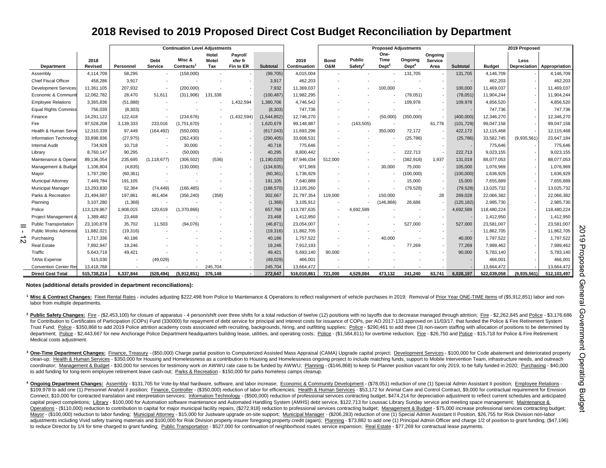# **2018 Revised to 2019 Proposed Direct Cost Budget Reconciliation by Department**

| <b>Continuation Level Adjustments</b>                                                                                                                                                                                                                                                                                                                                                                                                                                                                                                                                                                                                                                                                                                                                                                                                                                                                                                                                                                                                                                                                                                                                                                                                                                                                            |                                                                                                                                                                                                                                                                                                                                                                                                                                                                                                                                                                                                                                                                                                                                                                                                                                                                                                                                                                                                                                                                                                                                                                                                        |           |                          |                                  |                          |                      |               |                      |                    |                                  | <b>Proposed Adjustments</b> |                             |                          |            |               | 2019 Proposed |                            |
|------------------------------------------------------------------------------------------------------------------------------------------------------------------------------------------------------------------------------------------------------------------------------------------------------------------------------------------------------------------------------------------------------------------------------------------------------------------------------------------------------------------------------------------------------------------------------------------------------------------------------------------------------------------------------------------------------------------------------------------------------------------------------------------------------------------------------------------------------------------------------------------------------------------------------------------------------------------------------------------------------------------------------------------------------------------------------------------------------------------------------------------------------------------------------------------------------------------------------------------------------------------------------------------------------------------|--------------------------------------------------------------------------------------------------------------------------------------------------------------------------------------------------------------------------------------------------------------------------------------------------------------------------------------------------------------------------------------------------------------------------------------------------------------------------------------------------------------------------------------------------------------------------------------------------------------------------------------------------------------------------------------------------------------------------------------------------------------------------------------------------------------------------------------------------------------------------------------------------------------------------------------------------------------------------------------------------------------------------------------------------------------------------------------------------------------------------------------------------------------------------------------------------------|-----------|--------------------------|----------------------------------|--------------------------|----------------------|---------------|----------------------|--------------------|----------------------------------|-----------------------------|-----------------------------|--------------------------|------------|---------------|---------------|----------------------------|
|                                                                                                                                                                                                                                                                                                                                                                                                                                                                                                                                                                                                                                                                                                                                                                                                                                                                                                                                                                                                                                                                                                                                                                                                                                                                                                                  |                                                                                                                                                                                                                                                                                                                                                                                                                                                                                                                                                                                                                                                                                                                                                                                                                                                                                                                                                                                                                                                                                                                                                                                                        |           |                          |                                  | Hotel                    | Payroll              |               |                      |                    |                                  | One-                        |                             | Ongoing                  |            |               |               |                            |
| <b>Department</b>                                                                                                                                                                                                                                                                                                                                                                                                                                                                                                                                                                                                                                                                                                                                                                                                                                                                                                                                                                                                                                                                                                                                                                                                                                                                                                | 2018<br>Revised                                                                                                                                                                                                                                                                                                                                                                                                                                                                                                                                                                                                                                                                                                                                                                                                                                                                                                                                                                                                                                                                                                                                                                                        | Personnel | Debt<br>Service          | Misc &<br>Contracts <sup>1</sup> | Motel<br>Tax             | xfer fr<br>Fin to ER | Subtotal      | 2019<br>Continuation | <b>Bond</b><br>O&M | Public<br>$S$ afety <sup>2</sup> | Time<br>$\text{Depth}^3$    | Ongoing<br>Der <sup>4</sup> | <b>Service</b><br>Area   | Subtotal   | <b>Budget</b> | Less          | Depreciation Appropriation |
| Assembly                                                                                                                                                                                                                                                                                                                                                                                                                                                                                                                                                                                                                                                                                                                                                                                                                                                                                                                                                                                                                                                                                                                                                                                                                                                                                                         | 4,114,709                                                                                                                                                                                                                                                                                                                                                                                                                                                                                                                                                                                                                                                                                                                                                                                                                                                                                                                                                                                                                                                                                                                                                                                              | 58,295    |                          | (158,000)                        |                          |                      | (99, 705)     | 4,015,004            |                    |                                  |                             | 131,705                     |                          | 131,705    | 4,146,709     |               | 4,146,709                  |
| <b>Chief Fiscal Officer</b>                                                                                                                                                                                                                                                                                                                                                                                                                                                                                                                                                                                                                                                                                                                                                                                                                                                                                                                                                                                                                                                                                                                                                                                                                                                                                      | 458,286                                                                                                                                                                                                                                                                                                                                                                                                                                                                                                                                                                                                                                                                                                                                                                                                                                                                                                                                                                                                                                                                                                                                                                                                | 3,917     | $\sim$                   |                                  |                          |                      | 3,917         | 462,203              |                    |                                  |                             |                             |                          |            | 462,203       |               | 462,203                    |
| <b>Development Service:</b>                                                                                                                                                                                                                                                                                                                                                                                                                                                                                                                                                                                                                                                                                                                                                                                                                                                                                                                                                                                                                                                                                                                                                                                                                                                                                      | 11,361,105                                                                                                                                                                                                                                                                                                                                                                                                                                                                                                                                                                                                                                                                                                                                                                                                                                                                                                                                                                                                                                                                                                                                                                                             | 207,932   | $\sim$                   | (200,000)                        |                          |                      | 7,932         | 11,369,037           |                    |                                  | 100,000                     |                             |                          | 100,000    | 11,469,037    |               | 11,469,037                 |
| Economic & Commur                                                                                                                                                                                                                                                                                                                                                                                                                                                                                                                                                                                                                                                                                                                                                                                                                                                                                                                                                                                                                                                                                                                                                                                                                                                                                                | 12,082,782                                                                                                                                                                                                                                                                                                                                                                                                                                                                                                                                                                                                                                                                                                                                                                                                                                                                                                                                                                                                                                                                                                                                                                                             | 28,470    | 51,611                   | (311,906)                        | 131,338                  |                      | (100, 487)    | 11,982,295           |                    |                                  |                             | (78, 051)                   |                          | (78,051)   | 11,904,244    |               | 11,904,244                 |
| <b>Employee Relations</b>                                                                                                                                                                                                                                                                                                                                                                                                                                                                                                                                                                                                                                                                                                                                                                                                                                                                                                                                                                                                                                                                                                                                                                                                                                                                                        | 3,365,836                                                                                                                                                                                                                                                                                                                                                                                                                                                                                                                                                                                                                                                                                                                                                                                                                                                                                                                                                                                                                                                                                                                                                                                              | (51, 888) |                          |                                  |                          | 1,432,594            | 1,380,706     | 4,746,542            |                    |                                  |                             | 109,978                     |                          | 109,978    | 4,856,520     |               | 4,856,520                  |
| <b>Equal Rights Commiss</b>                                                                                                                                                                                                                                                                                                                                                                                                                                                                                                                                                                                                                                                                                                                                                                                                                                                                                                                                                                                                                                                                                                                                                                                                                                                                                      | 756,039                                                                                                                                                                                                                                                                                                                                                                                                                                                                                                                                                                                                                                                                                                                                                                                                                                                                                                                                                                                                                                                                                                                                                                                                | (8,303)   |                          |                                  |                          |                      | (8, 303)      | 747,736              |                    |                                  |                             |                             |                          |            | 747,736       |               | 747,736                    |
| Finance                                                                                                                                                                                                                                                                                                                                                                                                                                                                                                                                                                                                                                                                                                                                                                                                                                                                                                                                                                                                                                                                                                                                                                                                                                                                                                          | 14,291,122                                                                                                                                                                                                                                                                                                                                                                                                                                                                                                                                                                                                                                                                                                                                                                                                                                                                                                                                                                                                                                                                                                                                                                                             | 122,418   |                          | (234, 676)                       |                          | (1,432,594)          | (1,544,852)   | 12,746,270           |                    |                                  | (50,000)                    | (350,000)                   |                          | (400,000)  | 12,346,270    |               | 12,346,270                 |
| Fire                                                                                                                                                                                                                                                                                                                                                                                                                                                                                                                                                                                                                                                                                                                                                                                                                                                                                                                                                                                                                                                                                                                                                                                                                                                                                                             | 97,528,208                                                                                                                                                                                                                                                                                                                                                                                                                                                                                                                                                                                                                                                                                                                                                                                                                                                                                                                                                                                                                                                                                                                                                                                             | 3,139,333 | 233,016                  | (1,751,670)                      |                          |                      | 1,620,679     | 99,148,887           |                    | (163, 505)                       |                             |                             | 61,776                   | (101, 729) | 99,047,158    |               | 99,047,158                 |
| Health & Human Serv                                                                                                                                                                                                                                                                                                                                                                                                                                                                                                                                                                                                                                                                                                                                                                                                                                                                                                                                                                                                                                                                                                                                                                                                                                                                                              | 12,310,339                                                                                                                                                                                                                                                                                                                                                                                                                                                                                                                                                                                                                                                                                                                                                                                                                                                                                                                                                                                                                                                                                                                                                                                             | 97,449    | (164, 492)               | (550,000)                        |                          |                      | (617, 043)    | 11,693,296           |                    |                                  | 350,000                     | 72,172                      |                          | 422,172    | 12,115,468    |               | 12,115,468                 |
| Information Technolog                                                                                                                                                                                                                                                                                                                                                                                                                                                                                                                                                                                                                                                                                                                                                                                                                                                                                                                                                                                                                                                                                                                                                                                                                                                                                            | 33,898,936                                                                                                                                                                                                                                                                                                                                                                                                                                                                                                                                                                                                                                                                                                                                                                                                                                                                                                                                                                                                                                                                                                                                                                                             | (27, 975) | $\sim$                   | (262, 430)                       |                          |                      | (290, 405)    | 33,608,531           |                    |                                  |                             | (25, 786)                   |                          | (25, 786)  | 33,582,745    | (9,935,561)   | 23,647,184                 |
| <b>Internal Audit</b>                                                                                                                                                                                                                                                                                                                                                                                                                                                                                                                                                                                                                                                                                                                                                                                                                                                                                                                                                                                                                                                                                                                                                                                                                                                                                            | 734,928                                                                                                                                                                                                                                                                                                                                                                                                                                                                                                                                                                                                                                                                                                                                                                                                                                                                                                                                                                                                                                                                                                                                                                                                | 10,718    | $\sim$                   | 30,000                           | $\blacksquare$           |                      | 40,718        | 775,646              |                    |                                  | $\sim$                      |                             | $\overline{\phantom{a}}$ |            | 775,646       |               | 775,646                    |
| Library                                                                                                                                                                                                                                                                                                                                                                                                                                                                                                                                                                                                                                                                                                                                                                                                                                                                                                                                                                                                                                                                                                                                                                                                                                                                                                          | 8,760,147                                                                                                                                                                                                                                                                                                                                                                                                                                                                                                                                                                                                                                                                                                                                                                                                                                                                                                                                                                                                                                                                                                                                                                                              | 90,295    | $\overline{\phantom{a}}$ | (50,000)                         |                          |                      | 40,295        | 8,800,442            |                    |                                  |                             | 222,713                     |                          | 222,713    | 9,023,155     |               | 9,023,155                  |
| Maintenance & Opera                                                                                                                                                                                                                                                                                                                                                                                                                                                                                                                                                                                                                                                                                                                                                                                                                                                                                                                                                                                                                                                                                                                                                                                                                                                                                              | 89,136,054                                                                                                                                                                                                                                                                                                                                                                                                                                                                                                                                                                                                                                                                                                                                                                                                                                                                                                                                                                                                                                                                                                                                                                                             | 235,695   | (1, 118, 677)            | (306, 502)                       | (536)                    |                      | (1, 190, 020) | 87,946,034           | 512.000            |                                  | ÷,                          | (382, 918)                  | 1,937                    | 131,019    | 88,077,053    |               | 88,077,053                 |
| Management & Budge                                                                                                                                                                                                                                                                                                                                                                                                                                                                                                                                                                                                                                                                                                                                                                                                                                                                                                                                                                                                                                                                                                                                                                                                                                                                                               | 1,106,804                                                                                                                                                                                                                                                                                                                                                                                                                                                                                                                                                                                                                                                                                                                                                                                                                                                                                                                                                                                                                                                                                                                                                                                              | (4,835)   |                          | (130,000)                        |                          |                      | (134, 835)    | 971,969              |                    |                                  | 30,000                      | 75,000                      |                          | 105,000    | 1,076,969     |               | 1,076,969                  |
| Mayor                                                                                                                                                                                                                                                                                                                                                                                                                                                                                                                                                                                                                                                                                                                                                                                                                                                                                                                                                                                                                                                                                                                                                                                                                                                                                                            | 1,797,290                                                                                                                                                                                                                                                                                                                                                                                                                                                                                                                                                                                                                                                                                                                                                                                                                                                                                                                                                                                                                                                                                                                                                                                              | (60, 361) |                          |                                  |                          |                      | (60, 361)     | 1,736,929            |                    |                                  |                             | (100,000)                   |                          | (100,000)  | 1,636,929     |               | 1,636,929                  |
| Municipal Attorney                                                                                                                                                                                                                                                                                                                                                                                                                                                                                                                                                                                                                                                                                                                                                                                                                                                                                                                                                                                                                                                                                                                                                                                                                                                                                               | 7,449,784                                                                                                                                                                                                                                                                                                                                                                                                                                                                                                                                                                                                                                                                                                                                                                                                                                                                                                                                                                                                                                                                                                                                                                                              | 191,105   |                          |                                  |                          |                      | 191,105       | 7,640,889            |                    |                                  |                             | 15,000                      |                          | 15,000     | 7,655,889     |               | 7,655,889                  |
| <b>Municipal Manager</b>                                                                                                                                                                                                                                                                                                                                                                                                                                                                                                                                                                                                                                                                                                                                                                                                                                                                                                                                                                                                                                                                                                                                                                                                                                                                                         | 13,293,830                                                                                                                                                                                                                                                                                                                                                                                                                                                                                                                                                                                                                                                                                                                                                                                                                                                                                                                                                                                                                                                                                                                                                                                             | 52,364    | (74, 449)                | (166, 485)                       | $\overline{\phantom{a}}$ |                      | (188, 570)    | 13,105,260           |                    |                                  |                             | (79, 528)                   |                          | (79, 528)  | 13,025,732    |               | 13,025,732                 |
| Parks & Recreation                                                                                                                                                                                                                                                                                                                                                                                                                                                                                                                                                                                                                                                                                                                                                                                                                                                                                                                                                                                                                                                                                                                                                                                                                                                                                               | 21,494,687                                                                                                                                                                                                                                                                                                                                                                                                                                                                                                                                                                                                                                                                                                                                                                                                                                                                                                                                                                                                                                                                                                                                                                                             | 197,861   | 461,404                  | (356, 240)                       | (358)                    |                      | 302,667       | 21,797,354           | 119,000            |                                  | 150,000                     |                             | 28                       | 269,028    | 22,066,382    |               | 22,066,382                 |
| Planning                                                                                                                                                                                                                                                                                                                                                                                                                                                                                                                                                                                                                                                                                                                                                                                                                                                                                                                                                                                                                                                                                                                                                                                                                                                                                                         | 3,107,280                                                                                                                                                                                                                                                                                                                                                                                                                                                                                                                                                                                                                                                                                                                                                                                                                                                                                                                                                                                                                                                                                                                                                                                              | (1,368)   |                          |                                  |                          |                      | (1, 368)      | 3,105,912            |                    |                                  | (146, 868)                  | 26,686                      |                          | (120, 182) | 2,985,730     |               | 2,985,730                  |
| Police                                                                                                                                                                                                                                                                                                                                                                                                                                                                                                                                                                                                                                                                                                                                                                                                                                                                                                                                                                                                                                                                                                                                                                                                                                                                                                           | 113,129,867                                                                                                                                                                                                                                                                                                                                                                                                                                                                                                                                                                                                                                                                                                                                                                                                                                                                                                                                                                                                                                                                                                                                                                                            | 1,908,015 | 120,619                  | (1,370,866)                      |                          |                      | 657,768       | 113,787,635          |                    | 4,692,589                        |                             |                             |                          | 4,692,589  | 118,480,224   |               | 118,480,224                |
| Project Management                                                                                                                                                                                                                                                                                                                                                                                                                                                                                                                                                                                                                                                                                                                                                                                                                                                                                                                                                                                                                                                                                                                                                                                                                                                                                               | 1,389,482                                                                                                                                                                                                                                                                                                                                                                                                                                                                                                                                                                                                                                                                                                                                                                                                                                                                                                                                                                                                                                                                                                                                                                                              | 23,468    |                          |                                  |                          |                      | 23,468        | 1,412,950            |                    |                                  |                             |                             |                          |            | 1,412,950     |               | 1,412,950                  |
| <b>Public Transportation</b>                                                                                                                                                                                                                                                                                                                                                                                                                                                                                                                                                                                                                                                                                                                                                                                                                                                                                                                                                                                                                                                                                                                                                                                                                                                                                     | 23,100,878                                                                                                                                                                                                                                                                                                                                                                                                                                                                                                                                                                                                                                                                                                                                                                                                                                                                                                                                                                                                                                                                                                                                                                                             | 35,702    | 11,503                   | (94,076)                         |                          |                      | (46, 871)     | 23,054,007           |                    |                                  |                             | 527,000                     |                          | 527,000    | 23,581,007    |               | 23,581,007                 |
| Public Works Adminis                                                                                                                                                                                                                                                                                                                                                                                                                                                                                                                                                                                                                                                                                                                                                                                                                                                                                                                                                                                                                                                                                                                                                                                                                                                                                             | 11,882,021                                                                                                                                                                                                                                                                                                                                                                                                                                                                                                                                                                                                                                                                                                                                                                                                                                                                                                                                                                                                                                                                                                                                                                                             | (19, 316) |                          |                                  |                          |                      | (19, 316)     | 11,862,705           |                    |                                  |                             |                             |                          |            | 11,862,705    |               | 11,862,705                 |
| Purchasing                                                                                                                                                                                                                                                                                                                                                                                                                                                                                                                                                                                                                                                                                                                                                                                                                                                                                                                                                                                                                                                                                                                                                                                                                                                                                                       | 1,717,336                                                                                                                                                                                                                                                                                                                                                                                                                                                                                                                                                                                                                                                                                                                                                                                                                                                                                                                                                                                                                                                                                                                                                                                              | 40,186    |                          |                                  |                          |                      | 40,186        | 1,757,522            |                    |                                  | 40,000                      |                             |                          | 40,000     | 1,797,522     |               | 1,797,522                  |
| <b>Real Estate</b>                                                                                                                                                                                                                                                                                                                                                                                                                                                                                                                                                                                                                                                                                                                                                                                                                                                                                                                                                                                                                                                                                                                                                                                                                                                                                               | 7,892,947                                                                                                                                                                                                                                                                                                                                                                                                                                                                                                                                                                                                                                                                                                                                                                                                                                                                                                                                                                                                                                                                                                                                                                                              | 19,246    |                          |                                  |                          |                      | 19.246        | 7,912,193            |                    |                                  |                             | 77.269                      |                          | 77,269     | 7,989,462     |               | 7,989,462                  |
| Traffic                                                                                                                                                                                                                                                                                                                                                                                                                                                                                                                                                                                                                                                                                                                                                                                                                                                                                                                                                                                                                                                                                                                                                                                                                                                                                                          | 5,643,719                                                                                                                                                                                                                                                                                                                                                                                                                                                                                                                                                                                                                                                                                                                                                                                                                                                                                                                                                                                                                                                                                                                                                                                              | 49,421    |                          |                                  |                          |                      | 49,421        | 5,693,140            | 90,000             |                                  |                             |                             |                          | 90,000     | 5,783,140     |               | 5,783,140                  |
| <b>TANs Expense</b>                                                                                                                                                                                                                                                                                                                                                                                                                                                                                                                                                                                                                                                                                                                                                                                                                                                                                                                                                                                                                                                                                                                                                                                                                                                                                              | 515,030                                                                                                                                                                                                                                                                                                                                                                                                                                                                                                                                                                                                                                                                                                                                                                                                                                                                                                                                                                                                                                                                                                                                                                                                |           | (49, 029)                |                                  |                          |                      | (49, 029)     | 466,001              |                    |                                  |                             |                             |                          |            | 466,001       |               | 466,001                    |
| <b>Convention Center Re</b>                                                                                                                                                                                                                                                                                                                                                                                                                                                                                                                                                                                                                                                                                                                                                                                                                                                                                                                                                                                                                                                                                                                                                                                                                                                                                      | 13,418,768                                                                                                                                                                                                                                                                                                                                                                                                                                                                                                                                                                                                                                                                                                                                                                                                                                                                                                                                                                                                                                                                                                                                                                                             |           |                          |                                  | 245,704                  |                      | 245,704       | 13,664,472           |                    |                                  |                             |                             |                          |            | 13,664,472    |               | 13,664,472                 |
| <b>Direct Cost Total</b>                                                                                                                                                                                                                                                                                                                                                                                                                                                                                                                                                                                                                                                                                                                                                                                                                                                                                                                                                                                                                                                                                                                                                                                                                                                                                         | 515,738,214                                                                                                                                                                                                                                                                                                                                                                                                                                                                                                                                                                                                                                                                                                                                                                                                                                                                                                                                                                                                                                                                                                                                                                                            | 6,337,844 | (528, 494)               | (5,912,851)                      | 376,148                  |                      | 272,647       | 516,010,861          | 721,000            | 4,529,084                        | 473,132                     | 241,240                     | 63,741                   | 6,028,197  | 522,039,058   | (9,935,561)   | 512,103,497                |
| Notes (additional details provided in department reconciliations):<br><sup>1</sup> Misc & Contract Changes: Fleet Rental Rates - includes adjusting \$222,498 from Police to Maintenance & Operations to reflect realignment of vehicle purchases in 2019; Removal of Prior Year ONE-TIME Items of (\$5,912,851<br>labor from multiple departments.<br><sup>2</sup> Public Safety Changes: Fire - (\$2,453,100) for closure of apparatus - 4 person/shift over three shifts for a total reduction of twelve (12) positions with no layoffs due to decrease managed through attrition; Fire - \$2<br>for Contribution to Certificates of Participation (COPs) Fund (330000) for repayment of debt service for principal and interest costs for issuance of COPs, per AO 2017-133 approved on 11/03/17, that funded the Police & Fir<br>శ<br>Trust Fund; Police - \$350,868 to add 2019 Police attrition academy costs associated with recruiting, backgrounds, hiring, and outfitting supplies; Police - \$290,461 to add three (3) non-sworn staffing with allocation of po<br>department; Police - \$2,443,667 for new Anchorage Police Department headquarters building lease, utilities, and operating costs; Police - (\$1,584,811) for overtime reduction; Fire - \$26,750 and Police - \$15,718 for Police |                                                                                                                                                                                                                                                                                                                                                                                                                                                                                                                                                                                                                                                                                                                                                                                                                                                                                                                                                                                                                                                                                                                                                                                                        |           |                          |                                  |                          |                      |               |                      |                    |                                  |                             |                             |                          |            |               |               |                            |
| Medical costs adjustment.<br>ent<br><sup>3</sup> One-Time Department Changes: Finance, Treasury - (\$50,000) Charge partial position to Computerized Assisted Mass Appraisal (CAMA) Upgrade capital project; Development Services - \$100,000 for Code abatement and deterior<br><b>Opel</b><br>clean-up; Health & Human Services - \$350,000 for Housing and Homelessness as a contribution to Housing and Homelessness ongoing project to include matching funds, support to Mobile Intervention Team, infrastructure needs,<br>coordinator; Management & Budget - \$30,000 for services for testimony work on AWWU rate case to be funded by AWWU; Planning - (\$146,868) to keep Sr Planner position vacant for only 2019, to be fully funded in 2020; Purchas<br>Gunej<br>to add funding for long-term employee retirement leave cash-out; Parks & Recreation - \$150,000 for parks homeless camps cleanup.                                                                                                                                                                                                                                                                                                                                                                                                 |                                                                                                                                                                                                                                                                                                                                                                                                                                                                                                                                                                                                                                                                                                                                                                                                                                                                                                                                                                                                                                                                                                                                                                                                        |           |                          |                                  |                          |                      |               |                      |                    |                                  |                             |                             |                          |            |               |               |                            |
|                                                                                                                                                                                                                                                                                                                                                                                                                                                                                                                                                                                                                                                                                                                                                                                                                                                                                                                                                                                                                                                                                                                                                                                                                                                                                                                  | 4 Ongoing Department Changes: Assembly - \$131,705 for Vote-by-Mail hardware, software, and labor increase; Economic & Community Development - (\$78,051) reduction of one (1) Special Admin Assistant II position; Employee Rel<br>\$109,978 to add one (1) Personnel Analyst II position; Finance, Controller - (\$350,000) reduction of labor for efficiencies; Health & Human Services - \$53,172 for Animal Care and Control Contract, \$9,000 for contractual re<br>png<br>Connect, \$10,000 for contracted translation and interpretation services; Information Technology - (\$500,000) reduction of professional services contracting budget, \$474,214 for depreciation adjustment to reflect current sc<br>capital project completions; Library - \$100,000 for Automation software maintenance and Automated Handling System (AMHS) debt service, \$122,713 for Loussac Library Sunday service and meeting space management; Maintenance &<br>6<br>Operations - (\$110,000) reduction to contribution to capital for major municipal facility repairs, (\$272,918) reduction to professional services contracting budget; Management & Budget - \$75,000 increase professional servi<br>O. |           |                          |                                  |                          |                      |               |                      |                    |                                  |                             |                             |                          |            |               |               |                            |

#### **Notes (additional details provided in department reconciliations):**

- <sup>2</sup> Public Safety Changes: Fire (\$2,453,100) for closure of apparatus 4 person/shift over three shifts for a total reduction of twelve (12) positions with no layoffs due to decrease managed through attrition; Fire \$2 for Contribution to Certificates of Participation (COPs) Fund (330000) for repayment of debt service for principal and interest costs for issuance of COPs, per AO 2017-133 approved on 11/03/17, that funded the Police & Fir Trust Fund: Police - \$350.868 to add 2019 Police attrition academy costs associated with recruiting, backgrounds, hiring, and outfitting supplies: Police - \$290.461 to add three (3) non-sworn staffing with allocation of po department: Police - \$2.443.667 for new Anchorage Police Department headquarters building lease, utilities, and operating costs: Police - (\$1.584.811) for overtime reduction: Fire - \$26.750 and Police - \$15.718 for Police Medical costs adjustment.
- <sup>3</sup> One-Time Department Changes: Finance, Treasury (\$50,000) Charge partial position to Computerized Assisted Mass Appraisal (CAMA) Upgrade capital project; Development Services \$100,000 for Code abatement and deterior clean-up; Health & Human Services - \$350,000 for Housing and Homelessness as a contribution to Housing and Homelessness ongoing project to include matching funds, support to Mobile Intervention Team, infrastructure needs, coordinator; Management & Budget - \$30,000 for services for testimony work on AWWU rate case to be funded by AWWU; Planning - (\$146,868) to keep Sr Planner position vacant for only 2019, to be fully funded in 2020; Purchas to add funding for long-term employee retirement leave cash-out; Parks & Recreation - \$150,000 for parks homeless camps cleanup.
- 4 Ongoing Department Changes: Assembly \$131,705 for Vote-by-Mail hardware, software, and labor increase; Economic & Community Development (\$78,051) reduction of one (1) Special Admin Assistant II position; Employee Rel \$109.978 to add one (1) Personnel Analyst II position: Finance, Controller - (\$350,000) reduction of labor for efficiencies: Health & Human Services - \$53.172 for Animal Care and Control Contract, \$9,000 for contractual re Connect, \$10,000 for contracted translation and interpretation services: Information Technology - (\$500,000) reduction of professional services contracting budget, \$474,214 for depreciation adjustment to reflect current sc capital project completions; Library - \$100,000 for Automation software maintenance and Automated Handling System (AMHS) debt service, \$122,713 for Loussac Library Sunday service and meeting space management; Maintenance & Operations - (\$110,000) reduction to contribution to capital for major municipal facility repairs, (\$272.918) reduction to professional services contracting budget; Management & Budget - \$75,000 increase professional servi Mayor - (\$100,000) reduction to labor funding; Municipal Attorney - \$15,000 for Justware upgrade on-site support; Municipal Manager - (\$206,283) reduction of one (1) Special Admin Assistant II Position, \$26,755 for Risk Di adjustments including Vivid safety training materials and \$100,000 for Risk Division property insurer foregoing property credit (again); Planning - \$73,882 to add one (1) Principal Admin Officer and charge 1/2 of position to reduce Director by 1/4 for time charged to grant funding; Public Transportation - \$527,000 for continuation of neighborhood routes service expansion; Real Estate - \$77,269 for contractual lease payments.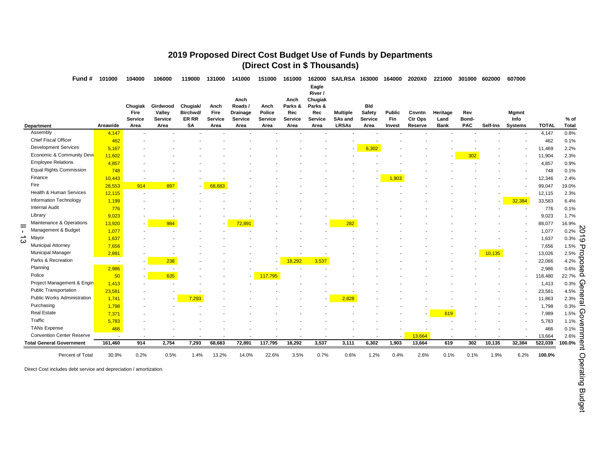# **2019 Proposed Direct Cost Budget Use of Funds by Departments (Direct Cost in \$ Thousands)**

Fund # 101000 104000 106000 119000 131000 141000 151000 161000 162000 SA/LRSA 163000 164000 2020X0 221000 301000 602000 607000

**Eagle** 

|        |                                                                    |          | Chugiak<br>Fire<br><b>Service</b> | Girdwood<br>Valley<br><b>Service</b> | Chugiak/<br>Birchwd/<br>ER RR | Anch<br>Fire<br><b>Service</b> | Anch<br>Roads/<br>Drainage<br>Service | Anch<br>Police<br>Service | Anch<br>Parks &<br>Rec<br><b>Service</b> | River /<br>Chugiak<br>Parks &<br>Rec<br><b>Service</b> | <b>Multiple</b><br>SAs and | <b>Bld</b><br>Safety<br><b>Service</b> | <b>Public</b><br>Fin | Cnvntn<br>Ctr Ops | Heritage<br>Land         | Rev<br>Bond- |          | <b>Mgmnt</b><br>Info |              | % of                          |
|--------|--------------------------------------------------------------------|----------|-----------------------------------|--------------------------------------|-------------------------------|--------------------------------|---------------------------------------|---------------------------|------------------------------------------|--------------------------------------------------------|----------------------------|----------------------------------------|----------------------|-------------------|--------------------------|--------------|----------|----------------------|--------------|-------------------------------|
|        | Department<br>Assembly                                             | Areawide | Area                              | Area                                 | SΑ                            | Area                           | Area                                  | Area                      | Area                                     | Area                                                   | <b>LRSAs</b>               | Area                                   | Invest               | Reserve           | Bank                     | <b>PAC</b>   | Self-Ins | <b>Systems</b>       | <b>TOTAL</b> | <b>Total</b>                  |
|        | <b>Chief Fiscal Officer</b>                                        | 4,147    |                                   |                                      |                               |                                |                                       |                           |                                          |                                                        |                            |                                        |                      |                   |                          |              |          |                      | 4,147        | 0.8%                          |
|        | <b>Development Services</b>                                        | 462      |                                   |                                      |                               |                                |                                       |                           |                                          |                                                        |                            |                                        |                      |                   |                          |              |          |                      | 462          | 0.1%                          |
|        | Economic & Community Deve                                          | 5,167    |                                   |                                      |                               |                                |                                       |                           |                                          |                                                        |                            | 6,302                                  |                      |                   |                          |              |          |                      | 11,469       | 2.2%                          |
|        | <b>Employee Relations</b>                                          | 11,602   |                                   |                                      |                               |                                |                                       |                           |                                          |                                                        |                            |                                        |                      |                   |                          | 302          |          |                      | 11,904       | 2.3%                          |
|        | <b>Equal Rights Commission</b>                                     | 4,857    |                                   |                                      |                               |                                |                                       |                           |                                          |                                                        |                            |                                        |                      |                   |                          |              |          |                      | 4,857        | 0.9%                          |
|        |                                                                    | 748      |                                   |                                      |                               |                                |                                       |                           |                                          |                                                        |                            |                                        |                      |                   |                          |              |          |                      | 748          | 0.1%                          |
|        | Finance                                                            | 10,443   | $\overline{\phantom{a}}$          | $\overline{\phantom{a}}$             |                               |                                |                                       |                           |                                          |                                                        |                            |                                        | 1,903                |                   |                          |              |          |                      | 12,346       | 2.4%                          |
|        | Fire                                                               | 28,553   | 914                               | 897                                  | $\sim$                        | 68,683                         |                                       |                           |                                          |                                                        |                            |                                        |                      |                   |                          |              |          |                      | 99,047       | 19.0%                         |
|        | Health & Human Services                                            | 12,115   | $\overline{\phantom{a}}$          |                                      |                               |                                |                                       |                           |                                          |                                                        |                            |                                        |                      |                   |                          |              |          |                      | 12,115       | 2.3%                          |
|        | Information Technology                                             | 1,199    |                                   |                                      |                               |                                |                                       |                           |                                          |                                                        |                            |                                        |                      |                   |                          |              |          | 32,384               | 33,583       | 6.4%                          |
|        | <b>Internal Audit</b>                                              | 776      |                                   |                                      |                               |                                |                                       |                           |                                          |                                                        |                            |                                        |                      |                   |                          |              |          |                      | 776          | 0.1%                          |
|        | Library                                                            | 9,023    |                                   |                                      |                               |                                |                                       |                           |                                          |                                                        |                            |                                        |                      |                   |                          |              |          |                      | 9,023        | 1.7%                          |
|        | Maintenance & Operations                                           | 13,920   |                                   | 984                                  |                               |                                | 72,891                                |                           |                                          |                                                        | 282                        |                                        |                      |                   |                          |              |          |                      | 88,077       | 16.9%                         |
|        | Management & Budget                                                | 1,077    |                                   |                                      |                               |                                |                                       |                           |                                          |                                                        |                            |                                        |                      |                   |                          |              |          |                      | 1,077        | $0.2\%$ $\sum$                |
| ∸<br>ယ | Mayor                                                              | 1,637    |                                   |                                      |                               |                                |                                       |                           |                                          |                                                        |                            |                                        |                      |                   |                          |              |          |                      | 1,637        | ದ<br>0.3%                     |
|        | <b>Municipal Attorney</b>                                          | 7,656    |                                   |                                      |                               |                                |                                       |                           |                                          |                                                        |                            |                                        |                      |                   |                          |              |          |                      | 7,656        | 1.5%                          |
|        | <b>Municipal Manager</b>                                           | 2,891    |                                   |                                      |                               |                                |                                       |                           |                                          |                                                        |                            |                                        |                      |                   |                          |              | 10,135   |                      | 13,026       | 2.5%<br>d                     |
|        | Parks & Recreation                                                 |          |                                   | 238                                  |                               |                                |                                       |                           | 18,292                                   | 3,537                                                  |                            |                                        |                      |                   |                          |              |          |                      | 22,066       | c<br>4.2%<br>Ō                |
|        | Planning                                                           | 2,986    | $\overline{\phantom{a}}$          | $\overline{\phantom{a}}$             |                               |                                | ٠                                     |                           |                                          |                                                        |                            |                                        |                      |                   |                          |              |          |                      | 2,986        | U.<br>0.6%<br>ወ               |
|        | Police                                                             | 50       |                                   | 635                                  |                               |                                | $\overline{\phantom{a}}$              | 117,795                   |                                          |                                                        |                            |                                        |                      |                   |                          |              |          |                      | 118,480      | Ω<br>22.7%                    |
|        | Project Management & Engin                                         | 1,413    | $\overline{\phantom{a}}$          |                                      |                               |                                |                                       |                           |                                          |                                                        |                            |                                        |                      |                   |                          |              |          |                      | 1,413        | G<br>0.3%                     |
|        | <b>Public Transportation</b>                                       | 23,581   |                                   |                                      |                               |                                |                                       |                           |                                          |                                                        |                            |                                        |                      |                   |                          |              |          |                      | 23,581       | ወ<br>4.5%<br>Ξ                |
|        | Public Works Administration                                        | 1,741    |                                   | $\overline{\phantom{a}}$             | 7,293                         |                                |                                       |                           |                                          | $\overline{\phantom{a}}$                               | 2,828                      |                                        |                      |                   |                          |              |          |                      | 11,863       | 2.3%                          |
|        | Purchasing                                                         | 1,798    |                                   |                                      |                               |                                |                                       |                           |                                          |                                                        |                            |                                        |                      |                   |                          |              |          |                      | 1,798        | نە<br>0.3%                    |
|        | <b>Real Estate</b>                                                 | 7,371    |                                   |                                      |                               |                                |                                       |                           |                                          |                                                        |                            |                                        |                      |                   | 619                      |              |          |                      | 7,989        | G<br>1.5%                     |
|        | Traffic                                                            | 5,783    |                                   |                                      |                               |                                |                                       |                           |                                          |                                                        |                            |                                        |                      |                   |                          |              |          |                      | 5,783        | o<br>1.1%                     |
|        | <b>TANs Expense</b>                                                | 466      |                                   |                                      |                               |                                |                                       |                           |                                          |                                                        |                            |                                        | $\blacksquare$       |                   |                          |              |          |                      | 466          | Ф<br>0.1%                     |
|        | <b>Convention Center Reserve</b>                                   |          |                                   |                                      |                               |                                |                                       |                           |                                          |                                                        |                            |                                        | $\sim$               | 13.664            | $\overline{\phantom{a}}$ |              |          |                      | 13,664       | 2.6%                          |
|        | <b>Total General Government</b>                                    | 161,460  | 914                               | 2,754                                | 7,293                         | 68,683                         | 72,891                                | 117,795                   | 18,292                                   | 3,537                                                  | 3,111                      | 6,302                                  | 1,903                | 13,664            | 619                      | 302          | 10,135   | 32,384               | 522,039      | $\boldsymbol{\Phi}$<br>100.0% |
|        |                                                                    |          |                                   |                                      |                               |                                |                                       |                           |                                          |                                                        |                            |                                        |                      |                   |                          |              |          |                      |              |                               |
|        | Percent of Total                                                   | 30.9%    | 0.2%                              | 0.5%                                 | 1.4%                          | 13.2%                          | 14.0%                                 | 22.6%                     | 3.5%                                     | 0.7%                                                   | 0.6%                       | 1.2%                                   | 0.4%                 | 2.6%              | 0.1%                     | 0.1%         | 1.9%     | 6.2%                 | 100.0%       |                               |
|        | Direct Cost includes debt service and depreciation / amortization. |          |                                   |                                      |                               |                                |                                       |                           |                                          |                                                        |                            |                                        |                      |                   |                          |              |          |                      |              | Operating                     |
|        |                                                                    |          |                                   |                                      |                               |                                |                                       |                           |                                          |                                                        |                            |                                        |                      |                   |                          |              |          |                      |              |                               |
|        |                                                                    |          |                                   |                                      |                               |                                |                                       |                           |                                          |                                                        |                            |                                        |                      |                   |                          |              |          |                      |              |                               |
|        |                                                                    |          |                                   |                                      |                               |                                |                                       |                           |                                          |                                                        |                            |                                        |                      |                   |                          |              |          |                      |              | <b>Budge</b>                  |
|        |                                                                    |          |                                   |                                      |                               |                                |                                       |                           |                                          |                                                        |                            |                                        |                      |                   |                          |              |          |                      |              | ቧ                             |
|        |                                                                    |          |                                   |                                      |                               |                                |                                       |                           |                                          |                                                        |                            |                                        |                      |                   |                          |              |          |                      |              |                               |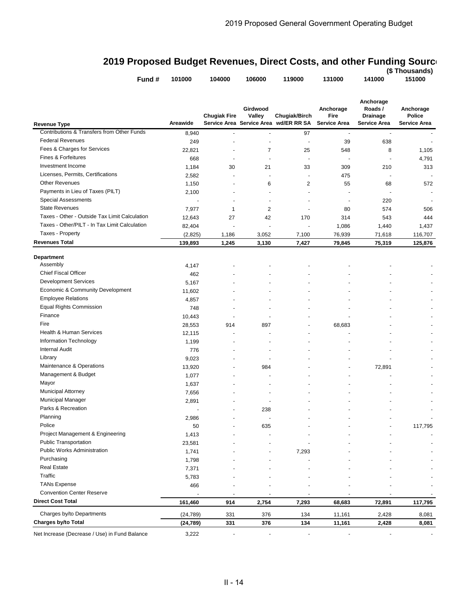# **2019 Proposed Budget Revenues, Direct Costs, and other Funding Source**

|                                               | Fund #<br>101000 | 104000                   | 106000                   | 119000                                                 | 131000                                   | 141000                                                         | (\$ Thousands)<br>151000                          |
|-----------------------------------------------|------------------|--------------------------|--------------------------|--------------------------------------------------------|------------------------------------------|----------------------------------------------------------------|---------------------------------------------------|
| Revenue Type                                  | Areawide         | <b>Chugiak Fire</b>      | Girdwood<br>Valley       | Chugiak/Birch<br>Service Area Service Area wd/ER RR SA | Anchorage<br>Fire<br><b>Service Area</b> | Anchorage<br>Roads /<br><b>Drainage</b><br><b>Service Area</b> | Anchorage<br><b>Police</b><br><b>Service Area</b> |
| Contributions & Transfers from Other Funds    | 8,940            |                          |                          | 97                                                     | $\overline{a}$                           | $\sim$                                                         |                                                   |
| <b>Federal Revenues</b>                       | 249              |                          | $\overline{\phantom{a}}$ | $\blacksquare$                                         | 39                                       | 638                                                            |                                                   |
| Fees & Charges for Services                   | 22,821           |                          | 7                        | 25                                                     | 548                                      | 8                                                              | 1,105                                             |
| <b>Fines &amp; Forfeitures</b>                | 668              | $\blacksquare$           | $\overline{\phantom{a}}$ | $\overline{\phantom{a}}$                               | $\overline{a}$                           | ÷,                                                             | 4,791                                             |
| Investment Income                             | 1,184            | 30                       | 21                       | 33                                                     | 309                                      | 210                                                            | 313                                               |
| Licenses, Permits, Certifications             | 2,582            |                          |                          | $\overline{a}$                                         | 475                                      |                                                                |                                                   |
| <b>Other Revenues</b>                         | 1,150            |                          | 6                        | $\overline{2}$                                         | 55                                       | 68                                                             | 572                                               |
| Payments in Lieu of Taxes (PILT)              | 2,100            |                          |                          |                                                        | $\blacksquare$                           |                                                                |                                                   |
| <b>Special Assessments</b>                    |                  |                          | $\overline{\phantom{a}}$ |                                                        | $\overline{\phantom{a}}$                 | 220                                                            |                                                   |
| <b>State Revenues</b>                         | 7,977            | $\mathbf{1}$             | 2                        | $\overline{\phantom{a}}$                               | 80                                       | 574                                                            | 506                                               |
| Taxes - Other - Outside Tax Limit Calculation | 12,643           | 27                       | 42                       | 170                                                    | 314                                      | 543                                                            | 444                                               |
| Taxes - Other/PILT - In Tax Limit Calculation | 82,404           | $\overline{\phantom{a}}$ | ÷,                       |                                                        | 1,086                                    | 1,440                                                          | 1,437                                             |
| Taxes - Property                              | (2,825)          | 1,186                    | 3,052                    | 7,100                                                  | 76,939                                   | 71,618                                                         | 116,707                                           |
| Revenues Total                                | 139,893          | 1,245                    | 3,130                    | 7,427                                                  | 79,845                                   | 75,319                                                         | 125,876                                           |
|                                               |                  |                          |                          |                                                        |                                          |                                                                |                                                   |
| Department                                    |                  |                          |                          |                                                        |                                          |                                                                |                                                   |
| Assembly                                      | 4,147            |                          |                          |                                                        |                                          |                                                                |                                                   |
| <b>Chief Fiscal Officer</b>                   | 462              |                          |                          |                                                        |                                          |                                                                |                                                   |
| <b>Development Services</b>                   | 5,167            |                          |                          |                                                        |                                          |                                                                |                                                   |
| Economic & Community Development              | 11,602           |                          |                          |                                                        |                                          |                                                                |                                                   |
| <b>Employee Relations</b>                     | 4,857            |                          |                          |                                                        |                                          |                                                                |                                                   |
| <b>Equal Rights Commission</b>                | 748              |                          |                          |                                                        |                                          |                                                                |                                                   |
| Finance                                       | 10,443           |                          |                          |                                                        |                                          |                                                                |                                                   |
| Fire                                          | 28,553           | 914                      | 897                      |                                                        | 68,683                                   |                                                                |                                                   |
| Health & Human Services                       | 12,115           |                          |                          |                                                        |                                          |                                                                |                                                   |
| Information Technology                        | 1,199            |                          | ٠                        |                                                        |                                          |                                                                |                                                   |
| <b>Internal Audit</b>                         | 776              |                          | $\overline{\phantom{a}}$ |                                                        |                                          |                                                                |                                                   |
| Library                                       | 9,023            |                          |                          |                                                        |                                          |                                                                |                                                   |
| Maintenance & Operations                      | 13,920           |                          | 984                      |                                                        |                                          | 72,891                                                         |                                                   |
| Management & Budget                           | 1,077            |                          |                          |                                                        |                                          |                                                                |                                                   |
| Mayor                                         | 1,637            |                          |                          |                                                        |                                          |                                                                |                                                   |
| Municipal Attorney                            | 7,656            |                          |                          |                                                        |                                          |                                                                |                                                   |
| <b>Municipal Manager</b>                      | 2,891            |                          |                          |                                                        |                                          |                                                                |                                                   |
| Parks & Recreation                            |                  |                          | 238                      |                                                        |                                          |                                                                |                                                   |
| Planning                                      | 2,986            |                          | $\blacksquare$           |                                                        |                                          |                                                                |                                                   |
| Police                                        | 50               |                          | 635                      |                                                        |                                          |                                                                | 117,795                                           |
| Project Management & Engineering              | 1,413            |                          |                          |                                                        |                                          |                                                                |                                                   |
| <b>Public Transportation</b>                  | 23,581           |                          |                          |                                                        |                                          |                                                                |                                                   |
| Public Works Administration                   | 1,741            |                          |                          | 7,293                                                  |                                          |                                                                |                                                   |
| Purchasing                                    | 1,798            |                          |                          |                                                        |                                          |                                                                |                                                   |
| <b>Real Estate</b>                            | 7,371            |                          |                          |                                                        |                                          |                                                                |                                                   |
| Traffic                                       | 5,783            |                          |                          |                                                        |                                          |                                                                |                                                   |
| <b>TANs Expense</b>                           | 466              |                          |                          |                                                        |                                          |                                                                |                                                   |
| <b>Convention Center Reserve</b>              |                  |                          |                          |                                                        |                                          |                                                                |                                                   |
| Direct Cost Total                             | 161,460          | 914                      | 2,754                    | 7,293                                                  | 68,683                                   | 72,891                                                         | 117,795                                           |
| Charges by/to Departments                     | (24, 789)        | 331                      | 376                      | 134                                                    | 11,161                                   | 2,428                                                          | 8,081                                             |
| Charges by/to Total                           | (24, 789)        | 331                      | 376                      | 134                                                    | 11,161                                   | 2,428                                                          | 8,081                                             |
|                                               |                  |                          |                          |                                                        |                                          |                                                                |                                                   |

Net Increase (Decrease / Use) in Fund Balance 3,222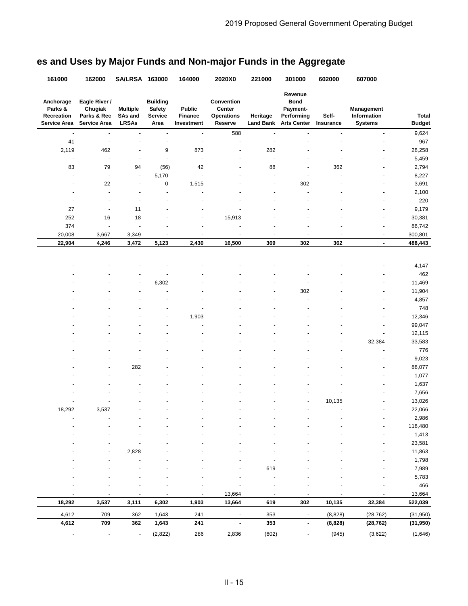| 161000                                             | 162000                                                         | SA/LRSA 163000                             |                                                     | 164000                                 | 2020X0                                               | 221000                       | 301000                                                                 | 602000                   | 607000                                      |                               |
|----------------------------------------------------|----------------------------------------------------------------|--------------------------------------------|-----------------------------------------------------|----------------------------------------|------------------------------------------------------|------------------------------|------------------------------------------------------------------------|--------------------------|---------------------------------------------|-------------------------------|
| Anchorage<br>Parks &<br>Recreation<br>Service Area | Eagle River /<br>Chugiak<br>Parks & Rec<br><b>Service Area</b> | <b>Multiple</b><br>SAs and<br><b>LRSAs</b> | <b>Building</b><br><b>Safety</b><br>Service<br>Area | <b>Public</b><br>Finance<br>Investment | Convention<br>Center<br><b>Operations</b><br>Reserve | Heritage<br><b>Land Bank</b> | Revenue<br><b>Bond</b><br>Payment-<br>Performing<br><b>Arts Center</b> | Self-<br>Insurance       | Management<br>Information<br><b>Systems</b> | <b>Total</b><br><b>Budget</b> |
| $\overline{a}$                                     | $\blacksquare$                                                 | ÷,                                         | $\blacksquare$                                      | $\blacksquare$                         | 588                                                  | $\overline{a}$               | $\overline{\phantom{a}}$                                               | $\blacksquare$           | $\blacksquare$                              | 9,624                         |
| 41                                                 | ÷,                                                             |                                            | $\overline{\phantom{a}}$                            | ÷,                                     | ÷                                                    |                              |                                                                        | $\overline{\phantom{a}}$ | $\overline{\phantom{a}}$                    | 967                           |
| 2,119                                              | 462                                                            | $\overline{\phantom{a}}$                   | 9                                                   | 873                                    | $\overline{a}$                                       | 282                          |                                                                        |                          |                                             | 28,258                        |
|                                                    | ÷,                                                             |                                            | ÷,                                                  | ÷,                                     |                                                      | ٠                            |                                                                        |                          |                                             | 5,459                         |
| 83                                                 | 79                                                             | 94                                         | (56)                                                | 42                                     |                                                      | 88                           |                                                                        | 362                      |                                             | 2,794                         |
|                                                    | $\overline{\phantom{a}}$                                       | $\qquad \qquad \blacksquare$               | 5,170                                               | $\overline{\phantom{a}}$               |                                                      | ٠                            | $\overline{\phantom{a}}$                                               | $\overline{\phantom{a}}$ | $\overline{\phantom{a}}$                    | 8,227                         |
| ٠                                                  | 22                                                             | ÷,                                         | $\mathbf 0$                                         | 1,515                                  |                                                      |                              | 302                                                                    |                          | ٠                                           | 3,691                         |
| ٠                                                  | ł,                                                             | $\overline{\phantom{a}}$                   | $\ddot{\phantom{0}}$                                |                                        |                                                      |                              |                                                                        |                          | $\overline{\phantom{a}}$                    | 2,100                         |
|                                                    |                                                                |                                            | ٠                                                   |                                        |                                                      |                              |                                                                        |                          |                                             | 220                           |
| 27                                                 | ÷,                                                             | 11                                         |                                                     |                                        |                                                      |                              |                                                                        |                          |                                             | 9,179                         |
| 252                                                | 16                                                             | 18                                         | ٠                                                   |                                        | 15,913                                               |                              |                                                                        |                          |                                             | 30,381                        |
| 374                                                | $\overline{\phantom{a}}$                                       | ÷,                                         |                                                     |                                        |                                                      |                              |                                                                        |                          |                                             | 86,742                        |
| 20,008                                             | 3,667                                                          | 3,349                                      | ÷,                                                  |                                        | ä,                                                   |                              |                                                                        |                          | ÷,                                          | 300,801                       |
| 22,904                                             | 4,246                                                          | 3,472                                      | 5,123                                               | 2,430                                  | 16,500                                               | 369                          | 302                                                                    | 362                      | $\blacksquare$                              | 488,443                       |
|                                                    |                                                                |                                            |                                                     |                                        |                                                      |                              |                                                                        |                          |                                             | 4,147                         |
|                                                    |                                                                |                                            |                                                     |                                        |                                                      |                              |                                                                        |                          |                                             | 462                           |
|                                                    |                                                                |                                            | 6,302                                               |                                        |                                                      |                              |                                                                        |                          |                                             | 11,469                        |
|                                                    |                                                                |                                            |                                                     |                                        |                                                      |                              | 302                                                                    |                          |                                             | 11,904                        |
|                                                    |                                                                |                                            |                                                     |                                        |                                                      |                              |                                                                        |                          |                                             | 4,857                         |
|                                                    |                                                                |                                            |                                                     |                                        |                                                      |                              |                                                                        |                          |                                             | 748                           |
|                                                    |                                                                |                                            | ٠                                                   | 1,903                                  |                                                      |                              |                                                                        |                          |                                             | 12,346                        |
|                                                    |                                                                |                                            |                                                     |                                        |                                                      |                              |                                                                        |                          |                                             | 99,047                        |
|                                                    |                                                                |                                            |                                                     |                                        |                                                      |                              |                                                                        |                          |                                             | 12,115                        |
|                                                    |                                                                |                                            |                                                     |                                        |                                                      |                              |                                                                        |                          | 32,384                                      | 33,583                        |
|                                                    |                                                                |                                            |                                                     |                                        |                                                      |                              |                                                                        |                          | ä,                                          | 776                           |
|                                                    |                                                                |                                            |                                                     |                                        |                                                      |                              |                                                                        |                          |                                             | 9,023                         |
|                                                    | ٠                                                              | 282                                        |                                                     |                                        |                                                      |                              |                                                                        |                          | $\overline{a}$                              | 88,077                        |
|                                                    |                                                                |                                            |                                                     |                                        |                                                      |                              |                                                                        |                          | $\overline{\phantom{a}}$                    | 1,077                         |
|                                                    |                                                                |                                            |                                                     |                                        |                                                      |                              |                                                                        |                          |                                             | 1,637                         |
|                                                    |                                                                |                                            |                                                     |                                        |                                                      |                              |                                                                        |                          |                                             | 7,656                         |
|                                                    |                                                                |                                            |                                                     |                                        |                                                      |                              |                                                                        | 10,135                   |                                             | 13,026                        |
| 18,292                                             | 3,537                                                          |                                            |                                                     |                                        |                                                      |                              |                                                                        | $\overline{\phantom{a}}$ |                                             | 22,066                        |
|                                                    |                                                                |                                            |                                                     |                                        |                                                      |                              |                                                                        |                          |                                             | 2,986                         |
|                                                    |                                                                |                                            |                                                     |                                        |                                                      |                              |                                                                        |                          |                                             | 118,480                       |
|                                                    |                                                                |                                            |                                                     |                                        |                                                      |                              |                                                                        |                          |                                             | 1,413                         |
|                                                    |                                                                |                                            |                                                     |                                        |                                                      |                              |                                                                        |                          |                                             | 23,581                        |
|                                                    |                                                                | 2,828                                      |                                                     |                                        |                                                      |                              |                                                                        |                          |                                             | 11,863                        |
|                                                    |                                                                |                                            |                                                     |                                        |                                                      |                              |                                                                        |                          |                                             | 1,798                         |
|                                                    |                                                                |                                            |                                                     |                                        |                                                      | 619                          |                                                                        |                          |                                             | 7,989                         |
|                                                    |                                                                |                                            |                                                     |                                        |                                                      |                              |                                                                        |                          |                                             | 5,783                         |
|                                                    |                                                                |                                            |                                                     |                                        |                                                      |                              |                                                                        |                          |                                             | 466                           |
|                                                    |                                                                |                                            |                                                     |                                        | 13,664                                               |                              |                                                                        |                          |                                             | 13,664                        |
| 18,292                                             | 3,537                                                          | 3,111                                      | 6,302                                               | 1,903                                  | 13,664                                               | 619                          | 302                                                                    | 10,135                   | 32,384                                      | 522,039                       |
| 4,612                                              | 709                                                            | 362                                        | 1,643                                               | 241                                    | $\overline{\phantom{a}}$                             | 353                          |                                                                        | (8,828)                  | (28, 762)                                   | (31, 950)                     |
| 4,612                                              | 709                                                            | 362                                        | 1,643                                               | 241                                    | $\blacksquare$                                       | 353                          | $\blacksquare$                                                         | (8,828)                  | (28, 762)                                   | (31, 950)                     |
| $\blacksquare$                                     |                                                                | $\overline{\phantom{a}}$                   | (2,822)                                             | 286                                    | 2,836                                                | (602)                        | $\overline{\phantom{a}}$                                               | (945)                    | (3,622)                                     | (1,646)                       |

# **es and Uses by Major Funds and Non-major Funds in the Aggregate**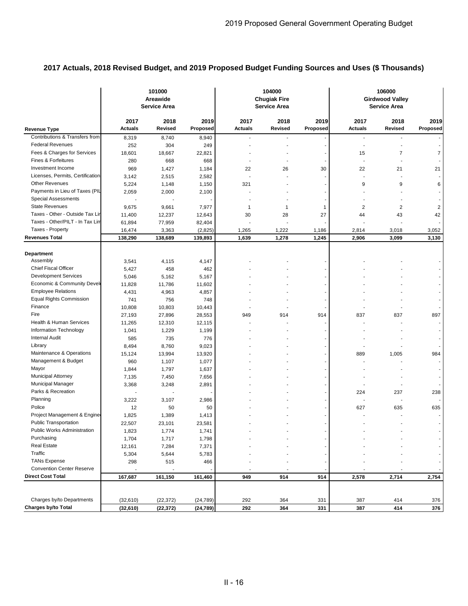|                                  |                        | 101000<br>Areawide<br><b>Service Area</b> |                  |                        | 104000<br><b>Chugiak Fire</b><br><b>Service Area</b> |                  |                        | 106000<br><b>Girdwood Valley</b><br>Service Area |                  |
|----------------------------------|------------------------|-------------------------------------------|------------------|------------------------|------------------------------------------------------|------------------|------------------------|--------------------------------------------------|------------------|
| <b>Revenue Type</b>              | 2017<br><b>Actuals</b> | 2018<br>Revised                           | 2019<br>Proposed | 2017<br><b>Actuals</b> | 2018<br><b>Revised</b>                               | 2019<br>Proposed | 2017<br><b>Actuals</b> | 2018<br>Revised                                  | 2019<br>Proposed |
| Contributions & Transfers from   | 8,319                  | 8,740                                     | 8,940            |                        |                                                      |                  |                        | ٠                                                |                  |
| <b>Federal Revenues</b>          | 252                    | 304                                       | 249              |                        |                                                      |                  | ÷,                     | Ĭ.                                               |                  |
| Fees & Charges for Services      | 18,601                 | 18,667                                    | 22,821           |                        |                                                      |                  | 15                     | 7                                                | 7                |
| <b>Fines &amp; Forfeitures</b>   | 280                    | 668                                       | 668              |                        |                                                      |                  |                        |                                                  |                  |
| Investment Income                | 969                    | 1,427                                     | 1,184            | 22                     | 26                                                   | 30               | 22                     | 21                                               | 21               |
| Licenses, Permits, Certification | 3,142                  | 2,515                                     | 2,582            |                        |                                                      |                  | ÷.                     |                                                  |                  |
| <b>Other Revenues</b>            | 5,224                  | 1,148                                     | 1,150            | 321                    |                                                      |                  | 9                      | 9                                                | 6                |
| Payments in Lieu of Taxes (PIL   | 2,059                  | 2,000                                     | 2,100            |                        |                                                      |                  |                        |                                                  |                  |
| <b>Special Assessments</b>       |                        |                                           |                  |                        |                                                      |                  |                        |                                                  |                  |
| <b>State Revenues</b>            | 9,675                  | 9,661                                     | 7,977            | $\mathbf{1}$           | 1                                                    | 1                | $\overline{2}$         | 2                                                | $\overline{2}$   |
| Taxes - Other - Outside Tax Lir  | 11,400                 | 12,237                                    | 12,643           | 30                     | 28                                                   | 27               | 44                     | 43                                               | 42               |
| Taxes - Other/PILT - In Tax Lin  | 61,894                 | 77,959                                    | 82,404           |                        |                                                      |                  |                        |                                                  |                  |
| Taxes - Property                 | 16,474                 | 3,363                                     | (2,825)          | 1,265                  | 1,222                                                | 1,186            | 2,814                  | 3,018                                            | 3,052            |
| <b>Revenues Total</b>            | 138,290                | 138,689                                   | 139,893          | 1,639                  | 1,278                                                | 1,245            | 2,906                  | 3,099                                            | 3,130            |
| Department<br>Assembly           | 3,541                  | 4,115                                     | 4,147            |                        |                                                      |                  |                        |                                                  |                  |
| <b>Chief Fiscal Officer</b>      | 5,427                  | 458                                       | 462              |                        |                                                      |                  |                        |                                                  |                  |
| <b>Development Services</b>      | 5,046                  | 5,162                                     | 5,167            |                        |                                                      |                  |                        |                                                  |                  |
| Economic & Community Devel       | 11,828                 | 11,786                                    | 11,602           |                        |                                                      |                  |                        |                                                  |                  |
| <b>Employee Relations</b>        | 4,431                  | 4,963                                     | 4,857            |                        |                                                      |                  |                        |                                                  |                  |
| <b>Equal Rights Commission</b>   | 741                    | 756                                       | 748              |                        |                                                      |                  |                        |                                                  |                  |
| Finance                          | 10,808                 | 10,803                                    | 10,443           |                        |                                                      |                  |                        |                                                  |                  |
| Fire                             | 27,193                 | 27,896                                    | 28,553           | 949                    | 914                                                  | 914              | 837                    | 837                                              | 897              |
| Health & Human Services          | 11,265                 | 12,310                                    | 12,115           |                        |                                                      |                  |                        |                                                  |                  |
| Information Technology           | 1,041                  | 1,229                                     | 1,199            |                        |                                                      |                  |                        |                                                  |                  |
| <b>Internal Audit</b>            | 585                    | 735                                       | 776              |                        |                                                      |                  |                        |                                                  |                  |
| Library                          | 8,494                  | 8,760                                     | 9,023            |                        |                                                      |                  |                        |                                                  |                  |
| Maintenance & Operations         | 15,124                 | 13,994                                    | 13,920           |                        |                                                      |                  | 889                    | 1,005                                            | 984              |
| Management & Budget              | 960                    | 1,107                                     | 1,077            |                        |                                                      |                  |                        |                                                  |                  |
| Mayor                            | 1,844                  | 1,797                                     | 1,637            |                        |                                                      |                  |                        |                                                  |                  |
| <b>Municipal Attorney</b>        | 7,135                  | 7,450                                     | 7,656            |                        |                                                      |                  |                        |                                                  |                  |
| Municipal Manager                | 3,368                  | 3,248                                     | 2,891            |                        |                                                      |                  |                        |                                                  |                  |
| Parks & Recreation               |                        |                                           |                  |                        |                                                      |                  | 224                    | 237                                              | 238              |
| Planning                         | 3,222                  | 3,107                                     | 2,986            |                        |                                                      |                  |                        | ä,                                               |                  |
| Police                           | 12                     | 50                                        | 50               |                        |                                                      |                  | 627                    | 635                                              | 635              |
| Project Management & Engine      | 1,825                  | 1,389                                     | 1,413            |                        |                                                      |                  |                        |                                                  |                  |
| <b>Public Transportation</b>     | 22,507                 | 23,101                                    | 23,581           |                        |                                                      |                  |                        | ÷                                                |                  |
| Public Works Administration      | 1,823                  | 1,774                                     | 1,741            |                        |                                                      |                  |                        |                                                  |                  |
| Purchasing                       | 1,704                  | 1,717                                     | 1,798            |                        |                                                      |                  |                        |                                                  |                  |
| <b>Real Estate</b>               | 12,161                 | 7,284                                     | 7,371            |                        |                                                      |                  |                        |                                                  |                  |
| Traffic                          | 5,304                  | 5,644                                     | 5,783            |                        |                                                      |                  |                        |                                                  |                  |
| <b>TANs Expense</b>              | 298                    | 515                                       | 466              |                        |                                                      |                  |                        |                                                  |                  |
| <b>Convention Center Reserve</b> |                        |                                           |                  |                        |                                                      |                  |                        |                                                  |                  |
| <b>Direct Cost Total</b>         | 167,687                | 161,150                                   | 161,460          | 949                    | 914                                                  | 914              | 2,578                  | 2,714                                            | 2,754            |
|                                  |                        |                                           |                  |                        |                                                      |                  |                        |                                                  |                  |
| Charges by/to Departments        | (32, 610)              | (22, 372)                                 | (24, 789)        | 292                    | 364                                                  | 331              | 387                    | 414                                              | 376              |
| Charges by/to Total              | (32,610)               | (22, 372)                                 | (24, 789)        | 292                    | 364                                                  | 331              | 387                    | 414                                              | 376              |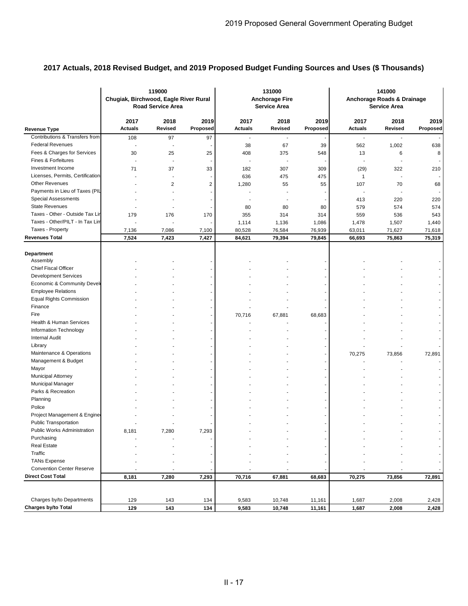|                                  | Chugiak, Birchwood, Eagle River Rural | 119000<br><b>Road Service Area</b> |                  |                        | 131000<br><b>Anchorage Fire</b><br><b>Service Area</b> |                  |                          | 141000<br>Anchorage Roads & Drainage<br>Service Area |                  |
|----------------------------------|---------------------------------------|------------------------------------|------------------|------------------------|--------------------------------------------------------|------------------|--------------------------|------------------------------------------------------|------------------|
| <b>Revenue Type</b>              | 2017<br><b>Actuals</b>                | 2018<br><b>Revised</b>             | 2019<br>Proposed | 2017<br><b>Actuals</b> | 2018<br><b>Revised</b>                                 | 2019<br>Proposed | 2017<br><b>Actuals</b>   | 2018<br><b>Revised</b>                               | 2019<br>Proposed |
| Contributions & Transfers from   | 108                                   | 97                                 | 97               |                        |                                                        |                  |                          |                                                      |                  |
| <b>Federal Revenues</b>          | L,                                    |                                    |                  | 38                     | 67                                                     | 39               | 562                      | 1,002                                                | 638              |
| Fees & Charges for Services      | 30                                    | 25                                 | 25               | 408                    | 375                                                    | 548              | 13                       | 6                                                    | 8                |
| Fines & Forfeitures              | L,                                    |                                    |                  | ä,                     | $\blacksquare$                                         |                  | $\overline{\phantom{a}}$ | ÷,                                                   |                  |
| Investment Income                | 71                                    | 37                                 | 33               | 182                    | 307                                                    | 309              | (29)                     | 322                                                  | 210              |
| Licenses, Permits, Certification |                                       |                                    |                  | 636                    | 475                                                    | 475              | $\mathbf{1}$             | ÷.                                                   |                  |
| <b>Other Revenues</b>            |                                       | $\overline{2}$                     | 2                | 1,280                  | 55                                                     | 55               | 107                      | 70                                                   | 68               |
| Payments in Lieu of Taxes (PIL   |                                       |                                    |                  |                        |                                                        |                  |                          |                                                      |                  |
| <b>Special Assessments</b>       |                                       |                                    |                  |                        |                                                        |                  | 413                      | 220                                                  | 220              |
| <b>State Revenues</b>            |                                       |                                    |                  | 80                     | 80                                                     | 80               | 579                      | 574                                                  | 574              |
| Taxes - Other - Outside Tax Lir  | 179                                   | 176                                | 170              | 355                    | 314                                                    | 314              | 559                      | 536                                                  | 543              |
| Taxes - Other/PILT - In Tax Lim  |                                       |                                    |                  | 1,114                  | 1,136                                                  | 1,086            | 1,478                    | 1,507                                                | 1,440            |
| Taxes - Property                 | 7,136                                 | 7,086                              | 7,100            | 80,528                 | 76,584                                                 | 76,939           | 63,011                   | 71,627                                               | 71,618           |
| <b>Revenues Total</b>            | 7,524                                 | 7,423                              | 7,427            | 84,621                 | 79,394                                                 | 79,845           | 66,693                   | 75,863                                               | 75,319           |
| <b>Department</b>                |                                       |                                    |                  |                        |                                                        |                  |                          |                                                      |                  |
| Assembly                         |                                       |                                    |                  |                        |                                                        |                  |                          |                                                      |                  |
| <b>Chief Fiscal Officer</b>      |                                       |                                    |                  |                        |                                                        |                  |                          |                                                      |                  |
| <b>Development Services</b>      |                                       |                                    |                  |                        |                                                        |                  |                          |                                                      |                  |
| Economic & Community Devel       |                                       |                                    |                  |                        |                                                        |                  |                          |                                                      |                  |
| <b>Employee Relations</b>        |                                       |                                    |                  |                        |                                                        |                  |                          |                                                      |                  |
| <b>Equal Rights Commission</b>   |                                       |                                    |                  |                        |                                                        |                  |                          |                                                      |                  |
| Finance<br>Fire                  |                                       |                                    |                  |                        |                                                        |                  |                          |                                                      |                  |
| Health & Human Services          |                                       |                                    |                  | 70,716                 | 67,881                                                 | 68,683           |                          |                                                      |                  |
| Information Technology           |                                       |                                    |                  |                        |                                                        |                  |                          |                                                      |                  |
| <b>Internal Audit</b>            |                                       |                                    |                  |                        |                                                        |                  |                          |                                                      |                  |
| Library                          |                                       |                                    |                  |                        |                                                        |                  |                          |                                                      |                  |
| Maintenance & Operations         |                                       |                                    |                  |                        |                                                        |                  |                          |                                                      |                  |
| Management & Budget              |                                       |                                    |                  |                        |                                                        |                  | 70,275                   | 73,856                                               | 72,891           |
| Mayor                            |                                       |                                    |                  |                        |                                                        |                  |                          |                                                      |                  |
| <b>Municipal Attorney</b>        |                                       |                                    |                  |                        |                                                        |                  |                          |                                                      |                  |
| <b>Municipal Manager</b>         |                                       |                                    |                  |                        |                                                        |                  |                          |                                                      |                  |
| Parks & Recreation               |                                       |                                    |                  |                        |                                                        |                  |                          |                                                      |                  |
| Planning                         |                                       |                                    |                  |                        |                                                        |                  |                          |                                                      |                  |
| Police                           |                                       |                                    |                  |                        |                                                        |                  |                          |                                                      |                  |
| Project Management & Engine      |                                       |                                    |                  |                        |                                                        |                  |                          |                                                      |                  |
| <b>Public Transportation</b>     |                                       |                                    |                  |                        |                                                        |                  |                          |                                                      |                  |
| Public Works Administration      | 8,181                                 | 7,280                              | 7,293            |                        |                                                        |                  |                          |                                                      |                  |
| Purchasing                       |                                       |                                    |                  |                        |                                                        |                  |                          |                                                      |                  |
| <b>Real Estate</b>               |                                       |                                    |                  |                        |                                                        |                  |                          |                                                      |                  |
| Traffic                          |                                       |                                    |                  |                        |                                                        |                  |                          |                                                      |                  |
| <b>TANs Expense</b>              |                                       |                                    |                  |                        |                                                        |                  |                          |                                                      |                  |
| <b>Convention Center Reserve</b> |                                       |                                    |                  |                        |                                                        |                  |                          |                                                      |                  |
| <b>Direct Cost Total</b>         | 8,181                                 | 7,280                              | 7,293            | 70,716                 | 67,881                                                 | 68,683           | 70,275                   | 73,856                                               | 72,891           |
|                                  |                                       |                                    |                  |                        |                                                        |                  |                          |                                                      |                  |
| Charges by/to Departments        | 129                                   | 143                                | 134              | 9,583                  | 10,748                                                 | 11,161           | 1,687                    | 2,008                                                | 2,428            |
| Charges by/to Total              | 129                                   | 143                                | 134              | 9,583                  | 10,748                                                 | 11,161           | 1,687                    | 2,008                                                | 2,428            |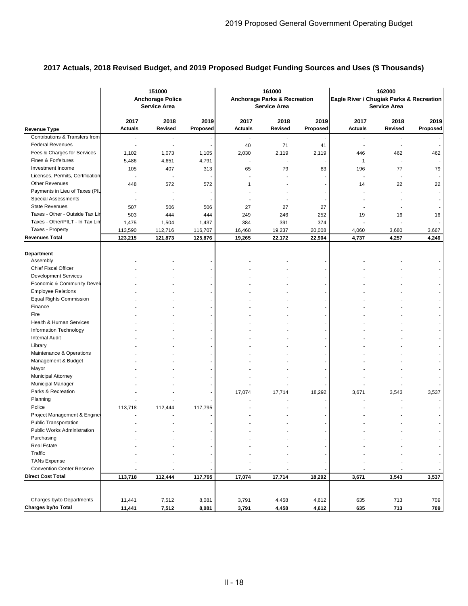|                                  |                          | 151000<br><b>Anchorage Police</b><br><b>Service Area</b> |                  |                          | 161000<br><b>Anchorage Parks &amp; Recreation</b><br><b>Service Area</b> |                  | Eagle River / Chugiak Parks & Recreation<br><b>Service Area</b> |                          |                  |
|----------------------------------|--------------------------|----------------------------------------------------------|------------------|--------------------------|--------------------------------------------------------------------------|------------------|-----------------------------------------------------------------|--------------------------|------------------|
| <b>Revenue Type</b>              | 2017<br><b>Actuals</b>   | 2018<br>Revised                                          | 2019<br>Proposed | 2017<br><b>Actuals</b>   | 2018<br>Revised                                                          | 2019<br>Proposed | 2017<br><b>Actuals</b>                                          | 2018<br>Revised          | 2019<br>Proposed |
| Contributions & Transfers from   | ÷                        | $\overline{\phantom{a}}$                                 |                  | $\overline{\phantom{a}}$ | $\overline{\phantom{a}}$                                                 |                  | $\overline{\phantom{a}}$                                        | ٠                        |                  |
| <b>Federal Revenues</b>          | ٠                        | $\blacksquare$                                           |                  | 40                       | 71                                                                       | 41               | $\overline{\phantom{a}}$                                        | $\overline{\phantom{a}}$ |                  |
| Fees & Charges for Services      | 1,102                    | 1,073                                                    | 1,105            | 2,030                    | 2,119                                                                    | 2,119            | 446                                                             | 462                      | 462              |
| <b>Fines &amp; Forfeitures</b>   | 5,486                    | 4,651                                                    | 4,791            | $\blacksquare$           |                                                                          |                  | $\mathbf{1}$                                                    | $\overline{\phantom{a}}$ |                  |
| Investment Income                | 105                      | 407                                                      | 313              | 65                       | 79                                                                       | 83               | 196                                                             | 77                       | 79               |
| Licenses, Permits, Certification |                          |                                                          |                  |                          |                                                                          |                  |                                                                 |                          |                  |
| <b>Other Revenues</b>            | 448                      | 572                                                      | 572              | 1                        |                                                                          |                  | 14                                                              | 22                       | 22               |
| Payments in Lieu of Taxes (PIL   | $\overline{\phantom{a}}$ |                                                          |                  |                          |                                                                          |                  |                                                                 |                          |                  |
| Special Assessments              |                          |                                                          |                  |                          |                                                                          |                  |                                                                 |                          |                  |
| <b>State Revenues</b>            | 507                      | 506                                                      | 506              | 27                       | 27                                                                       | 27               |                                                                 |                          |                  |
| Taxes - Other - Outside Tax Lir  | 503                      | 444                                                      | 444              | 249                      | 246                                                                      | 252              | 19                                                              | 16                       | 16               |
| Taxes - Other/PILT - In Tax Lin  | 1,475                    | 1,504                                                    | 1,437            | 384                      | 391                                                                      | 374              |                                                                 |                          |                  |
| Taxes - Property                 | 113,590                  | 112,716                                                  | 116,707          | 16,468                   | 19,237                                                                   | 20,008           | 4,060                                                           | 3,680                    | 3,667            |
| <b>Revenues Total</b>            | 123,215                  | 121,873                                                  | 125,876          | 19,265                   | 22,172                                                                   | 22,904           | 4,737                                                           | 4,257                    | 4,246            |
| Department<br>Assembly           |                          |                                                          |                  |                          |                                                                          |                  |                                                                 |                          |                  |
| Chief Fiscal Officer             |                          |                                                          |                  |                          |                                                                          |                  |                                                                 |                          |                  |
| <b>Development Services</b>      |                          |                                                          |                  |                          |                                                                          |                  |                                                                 |                          |                  |
| Economic & Community Devel       |                          |                                                          |                  |                          |                                                                          |                  |                                                                 |                          |                  |
| <b>Employee Relations</b>        |                          |                                                          |                  |                          |                                                                          |                  |                                                                 |                          |                  |
| <b>Equal Rights Commission</b>   |                          |                                                          |                  |                          |                                                                          |                  |                                                                 |                          |                  |
| Finance                          |                          |                                                          |                  |                          |                                                                          |                  |                                                                 |                          |                  |
| Fire                             |                          |                                                          |                  |                          |                                                                          |                  |                                                                 |                          |                  |
| Health & Human Services          |                          |                                                          |                  |                          |                                                                          |                  |                                                                 |                          |                  |
| Information Technology           |                          |                                                          |                  |                          |                                                                          |                  |                                                                 |                          |                  |
| <b>Internal Audit</b>            |                          |                                                          |                  |                          |                                                                          |                  |                                                                 |                          |                  |
| Library                          |                          |                                                          |                  |                          |                                                                          |                  |                                                                 |                          |                  |
| Maintenance & Operations         |                          |                                                          |                  |                          |                                                                          |                  |                                                                 |                          |                  |
| Management & Budget              |                          |                                                          |                  |                          |                                                                          |                  |                                                                 |                          |                  |
| Mayor                            |                          |                                                          |                  |                          |                                                                          |                  |                                                                 |                          |                  |
| Municipal Attorney               |                          |                                                          |                  |                          |                                                                          |                  |                                                                 |                          |                  |
| <b>Municipal Manager</b>         |                          |                                                          |                  |                          |                                                                          |                  |                                                                 |                          |                  |
| Parks & Recreation               |                          |                                                          |                  | 17,074                   | 17,714                                                                   | 18,292           | 3,671                                                           | 3,543                    | 3,537            |
| Planning                         |                          |                                                          |                  |                          |                                                                          |                  |                                                                 |                          |                  |
| Police                           | 113,718                  | 112,444                                                  | 117,795          |                          |                                                                          |                  |                                                                 |                          |                  |
| Project Management & Engine      |                          |                                                          |                  |                          |                                                                          |                  |                                                                 |                          |                  |
| <b>Public Transportation</b>     |                          |                                                          |                  |                          |                                                                          |                  |                                                                 |                          |                  |
| Public Works Administration      |                          |                                                          |                  |                          |                                                                          |                  |                                                                 |                          |                  |
| Purchasing                       |                          |                                                          |                  |                          |                                                                          |                  |                                                                 |                          |                  |
| <b>Real Estate</b>               |                          |                                                          |                  |                          |                                                                          |                  |                                                                 |                          |                  |
| Traffic                          |                          |                                                          |                  |                          |                                                                          |                  |                                                                 |                          |                  |
| <b>TANs Expense</b>              |                          |                                                          |                  |                          |                                                                          |                  |                                                                 |                          |                  |
| <b>Convention Center Reserve</b> |                          |                                                          |                  |                          |                                                                          |                  |                                                                 |                          |                  |
| <b>Direct Cost Total</b>         | 113,718                  | 112,444                                                  | 117,795          | 17,074                   | 17,714                                                                   | 18,292           | 3,671                                                           | 3,543                    | 3,537            |
|                                  |                          |                                                          |                  |                          |                                                                          |                  |                                                                 |                          |                  |
| Charges by/to Departments        | 11,441                   | 7,512                                                    | 8,081            | 3,791                    | 4,458                                                                    | 4,612            | 635                                                             | 713                      | 709              |
| Charges by/to Total              | 11,441                   | 7,512                                                    | 8,081            | 3,791                    | 4,458                                                                    | 4,612            | 635                                                             | 713                      | 709              |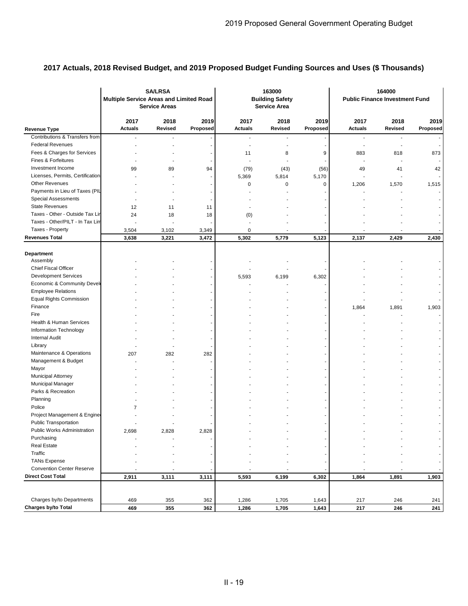|                                  | <b>SA/LRSA</b><br><b>Multiple Service Areas and Limited Road</b><br><b>Service Areas</b> |                        |                          | 163000<br><b>Building Safety</b><br><b>Service Area</b> |                 |                  | 164000<br><b>Public Finance Investment Fund</b> |                          |                  |
|----------------------------------|------------------------------------------------------------------------------------------|------------------------|--------------------------|---------------------------------------------------------|-----------------|------------------|-------------------------------------------------|--------------------------|------------------|
| <b>Revenue Type</b>              | 2017<br><b>Actuals</b>                                                                   | 2018<br><b>Revised</b> | 2019<br>Proposed         | 2017<br><b>Actuals</b>                                  | 2018<br>Revised | 2019<br>Proposed | 2017<br><b>Actuals</b>                          | 2018<br><b>Revised</b>   | 2019<br>Proposed |
| Contributions & Transfers from   |                                                                                          |                        |                          |                                                         |                 |                  |                                                 | $\overline{\phantom{a}}$ |                  |
| <b>Federal Revenues</b>          | ä,                                                                                       |                        |                          | ٠                                                       | ÷.              |                  | $\blacksquare$                                  | $\blacksquare$           |                  |
| Fees & Charges for Services      |                                                                                          |                        |                          | 11                                                      | 8               | 9                | 883                                             | 818                      | 873              |
| Fines & Forfeitures              |                                                                                          |                        |                          |                                                         |                 |                  |                                                 |                          |                  |
| Investment Income                | 99                                                                                       | 89                     | 94                       | (79)                                                    | (43)            | (56)             | 49                                              | 41                       | 42               |
| Licenses, Permits, Certification |                                                                                          |                        | $\overline{\phantom{a}}$ | 5,369                                                   | 5,814           | 5,170            | $\blacksquare$                                  |                          |                  |
| <b>Other Revenues</b>            |                                                                                          |                        |                          | 0                                                       | 0               | 0                | 1,206                                           | 1,570                    | 1,515            |
| Payments in Lieu of Taxes (PIL   |                                                                                          |                        |                          |                                                         |                 |                  |                                                 |                          |                  |
| <b>Special Assessments</b>       |                                                                                          |                        |                          |                                                         |                 |                  |                                                 |                          |                  |
| <b>State Revenues</b>            | 12                                                                                       | 11                     | 11                       |                                                         |                 |                  |                                                 |                          |                  |
| Taxes - Other - Outside Tax Lir  | 24                                                                                       | 18                     | 18                       | (0)                                                     |                 |                  |                                                 |                          |                  |
| Taxes - Other/PILT - In Tax Lin  |                                                                                          |                        |                          |                                                         |                 |                  |                                                 |                          |                  |
| Taxes - Property                 | 3,504                                                                                    | 3,102                  | 3,349                    | 0                                                       |                 |                  |                                                 |                          |                  |
| <b>Revenues Total</b>            | 3,638                                                                                    | 3,221                  | 3,472                    | 5,302                                                   | 5,779           | 5,123            | 2,137                                           | 2,429                    | 2,430            |
| Department                       |                                                                                          |                        |                          |                                                         |                 |                  |                                                 |                          |                  |
| Assembly                         |                                                                                          |                        |                          |                                                         |                 |                  |                                                 |                          |                  |
| <b>Chief Fiscal Officer</b>      |                                                                                          |                        |                          |                                                         |                 |                  |                                                 |                          |                  |
| <b>Development Services</b>      |                                                                                          |                        |                          | 5,593                                                   | 6,199           | 6,302            |                                                 |                          |                  |
| Economic & Community Devel       |                                                                                          |                        |                          |                                                         |                 |                  |                                                 |                          |                  |
| <b>Employee Relations</b>        |                                                                                          |                        |                          |                                                         |                 |                  |                                                 |                          |                  |
| <b>Equal Rights Commission</b>   |                                                                                          |                        |                          |                                                         |                 |                  |                                                 |                          |                  |
| Finance<br>Fire                  |                                                                                          |                        |                          |                                                         |                 |                  | 1,864                                           | 1,891                    | 1,903            |
| Health & Human Services          |                                                                                          |                        |                          |                                                         |                 |                  |                                                 |                          |                  |
| Information Technology           |                                                                                          |                        |                          |                                                         |                 |                  |                                                 |                          |                  |
| <b>Internal Audit</b>            |                                                                                          |                        |                          |                                                         |                 |                  |                                                 |                          |                  |
| Library                          |                                                                                          |                        |                          |                                                         |                 |                  |                                                 |                          |                  |
| Maintenance & Operations         | 207                                                                                      | 282                    | 282                      |                                                         |                 |                  |                                                 |                          |                  |
| Management & Budget              |                                                                                          |                        | ÷                        |                                                         |                 |                  |                                                 |                          |                  |
| Mayor                            |                                                                                          |                        |                          |                                                         |                 |                  |                                                 |                          |                  |
| Municipal Attorney               |                                                                                          |                        |                          |                                                         |                 |                  |                                                 |                          |                  |
| Municipal Manager                |                                                                                          |                        |                          |                                                         |                 |                  |                                                 |                          |                  |
| Parks & Recreation               |                                                                                          |                        |                          |                                                         |                 |                  |                                                 |                          |                  |
| Planning                         |                                                                                          |                        |                          |                                                         |                 |                  |                                                 |                          |                  |
| Police                           | 7                                                                                        |                        |                          |                                                         |                 |                  |                                                 |                          |                  |
| Project Management & Engine      |                                                                                          |                        |                          |                                                         |                 |                  |                                                 |                          |                  |
| <b>Public Transportation</b>     |                                                                                          |                        |                          |                                                         |                 |                  |                                                 |                          |                  |
| Public Works Administration      | 2,698                                                                                    | 2,828                  | 2,828                    |                                                         |                 |                  |                                                 |                          |                  |
| Purchasing                       |                                                                                          |                        |                          |                                                         |                 |                  |                                                 |                          |                  |
| <b>Real Estate</b>               |                                                                                          |                        |                          |                                                         |                 |                  |                                                 |                          |                  |
| Traffic                          |                                                                                          |                        |                          |                                                         |                 |                  |                                                 |                          |                  |
| <b>TANs Expense</b>              |                                                                                          |                        |                          |                                                         |                 |                  |                                                 |                          |                  |
| <b>Convention Center Reserve</b> |                                                                                          |                        |                          |                                                         |                 |                  |                                                 |                          |                  |
| <b>Direct Cost Total</b>         | 2,911                                                                                    | 3,111                  | 3,111                    | 5,593                                                   | 6,199           | 6,302            | 1,864                                           | 1,891                    | 1,903            |
|                                  |                                                                                          |                        |                          |                                                         |                 |                  |                                                 |                          |                  |
|                                  |                                                                                          |                        |                          |                                                         |                 |                  |                                                 |                          |                  |
| Charges by/to Departments        | 469                                                                                      | 355                    | 362                      | 1,286                                                   | 1,705           | 1,643            | 217                                             | 246                      | 241              |
| Charges by/to Total              | 469                                                                                      | 355                    | 362                      | 1,286                                                   | 1,705           | 1,643            | 217                                             | 246                      | 241              |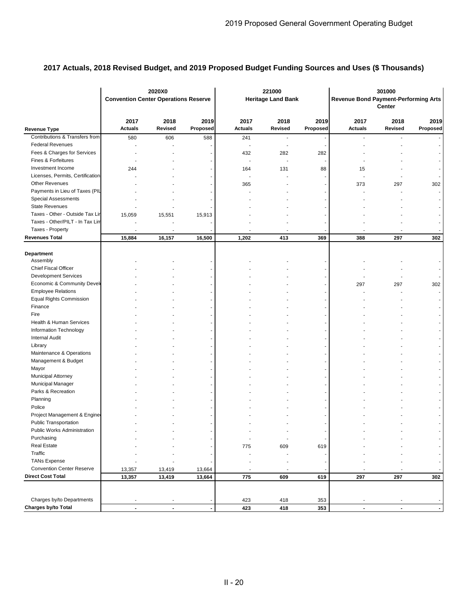|                                  | 2020X0<br><b>Convention Center Operations Reserve</b> |                        |                  | 221000<br><b>Heritage Land Bank</b> |                          |                  | 301000<br><b>Revenue Bond Payment-Performing Arts</b><br><b>Center</b> |                          |                          |
|----------------------------------|-------------------------------------------------------|------------------------|------------------|-------------------------------------|--------------------------|------------------|------------------------------------------------------------------------|--------------------------|--------------------------|
| <b>Revenue Type</b>              | 2017<br><b>Actuals</b>                                | 2018<br><b>Revised</b> | 2019<br>Proposed | 2017<br><b>Actuals</b>              | 2018<br>Revised          | 2019<br>Proposed | 2017<br><b>Actuals</b>                                                 | 2018<br>Revised          | 2019<br>Proposed         |
| Contributions & Transfers from   | 580                                                   | 606                    | 588              | 241                                 | $\overline{\phantom{a}}$ |                  | ٠                                                                      |                          |                          |
| <b>Federal Revenues</b>          |                                                       |                        |                  |                                     | $\overline{\phantom{a}}$ |                  |                                                                        |                          | $\sim$                   |
| Fees & Charges for Services      |                                                       |                        |                  | 432                                 | 282                      | 282              |                                                                        |                          |                          |
| Fines & Forfeitures              |                                                       |                        |                  | $\overline{a}$                      | $\blacksquare$           |                  |                                                                        |                          |                          |
| Investment Income                | 244                                                   |                        |                  | 164                                 | 131                      | 88               | 15                                                                     |                          |                          |
| Licenses, Permits, Certification |                                                       |                        |                  |                                     |                          |                  |                                                                        |                          |                          |
| <b>Other Revenues</b>            |                                                       |                        |                  | 365                                 |                          |                  | 373                                                                    | 297                      | 302                      |
| Payments in Lieu of Taxes (PIL   |                                                       |                        |                  |                                     |                          |                  |                                                                        |                          |                          |
| Special Assessments              |                                                       |                        |                  |                                     |                          |                  |                                                                        |                          |                          |
| <b>State Revenues</b>            |                                                       |                        |                  |                                     |                          |                  |                                                                        |                          |                          |
| Taxes - Other - Outside Tax Lir  | 15,059                                                | 15,551                 | 15,913           |                                     |                          |                  |                                                                        |                          |                          |
| Taxes - Other/PILT - In Tax Lin  |                                                       |                        |                  |                                     |                          |                  |                                                                        |                          |                          |
| Taxes - Property                 |                                                       |                        |                  |                                     |                          |                  |                                                                        |                          |                          |
| <b>Revenues Total</b>            | 15,884                                                | 16,157                 | 16,500           | 1,202                               | 413                      | 369              | 388                                                                    | 297                      | 302                      |
| Department<br>Assembly           |                                                       |                        |                  |                                     |                          |                  |                                                                        |                          |                          |
| Chief Fiscal Officer             |                                                       |                        |                  |                                     |                          |                  |                                                                        |                          |                          |
| <b>Development Services</b>      |                                                       |                        |                  |                                     |                          |                  |                                                                        |                          |                          |
| Economic & Community Devel       |                                                       |                        |                  |                                     |                          |                  | 297                                                                    | 297                      | 302                      |
| <b>Employee Relations</b>        |                                                       |                        |                  |                                     |                          |                  |                                                                        |                          |                          |
| <b>Equal Rights Commission</b>   |                                                       |                        |                  |                                     |                          |                  |                                                                        |                          |                          |
| Finance                          |                                                       |                        |                  |                                     |                          |                  |                                                                        |                          |                          |
| Fire                             |                                                       |                        |                  |                                     |                          |                  |                                                                        |                          | $\blacksquare$           |
| Health & Human Services          |                                                       |                        |                  |                                     |                          |                  |                                                                        |                          |                          |
| Information Technology           |                                                       |                        |                  |                                     |                          |                  |                                                                        |                          |                          |
| <b>Internal Audit</b>            |                                                       |                        |                  |                                     |                          |                  |                                                                        |                          | $\overline{\phantom{a}}$ |
| Library                          |                                                       |                        |                  |                                     |                          |                  |                                                                        |                          |                          |
| Maintenance & Operations         |                                                       |                        |                  |                                     |                          |                  |                                                                        |                          |                          |
| Management & Budget              |                                                       |                        |                  |                                     |                          |                  |                                                                        |                          | $\overline{\phantom{a}}$ |
| Mayor                            |                                                       |                        |                  |                                     |                          |                  |                                                                        |                          |                          |
| Municipal Attorney               |                                                       |                        |                  |                                     |                          |                  |                                                                        |                          |                          |
| Municipal Manager                |                                                       |                        |                  |                                     |                          |                  |                                                                        |                          |                          |
| Parks & Recreation               |                                                       |                        |                  |                                     |                          |                  |                                                                        |                          |                          |
| Planning                         |                                                       |                        |                  |                                     |                          |                  |                                                                        |                          |                          |
| Police                           |                                                       |                        |                  |                                     |                          |                  |                                                                        |                          |                          |
| Project Management & Engine      |                                                       |                        |                  |                                     |                          |                  |                                                                        |                          |                          |
| <b>Public Transportation</b>     |                                                       |                        |                  |                                     |                          |                  |                                                                        |                          |                          |
| Public Works Administration      |                                                       |                        |                  |                                     |                          |                  |                                                                        |                          |                          |
| Purchasing                       |                                                       |                        |                  |                                     |                          |                  |                                                                        |                          |                          |
| <b>Real Estate</b>               |                                                       |                        |                  | 775                                 | 609                      | 619              |                                                                        |                          |                          |
| Traffic                          |                                                       |                        |                  |                                     | ÷,                       |                  |                                                                        |                          |                          |
| <b>TANs Expense</b>              |                                                       |                        |                  |                                     |                          |                  |                                                                        |                          |                          |
| <b>Convention Center Reserve</b> | 13,357                                                | 13,419                 | 13,664           | $\overline{a}$                      | $\blacksquare$           |                  |                                                                        | $\overline{\phantom{a}}$ |                          |
| <b>Direct Cost Total</b>         | 13,357                                                | 13,419                 | 13,664           | 775                                 | 609                      | 619              | 297                                                                    | 297                      | 302                      |
|                                  |                                                       |                        |                  |                                     |                          |                  |                                                                        |                          |                          |
| Charges by/to Departments        |                                                       |                        |                  | 423                                 | 418                      | 353              |                                                                        |                          |                          |
| Charges by/to Total              | $\blacksquare$                                        | $\blacksquare$         |                  | 423                                 | 418                      | 353              | $\blacksquare$                                                         | $\blacksquare$           |                          |